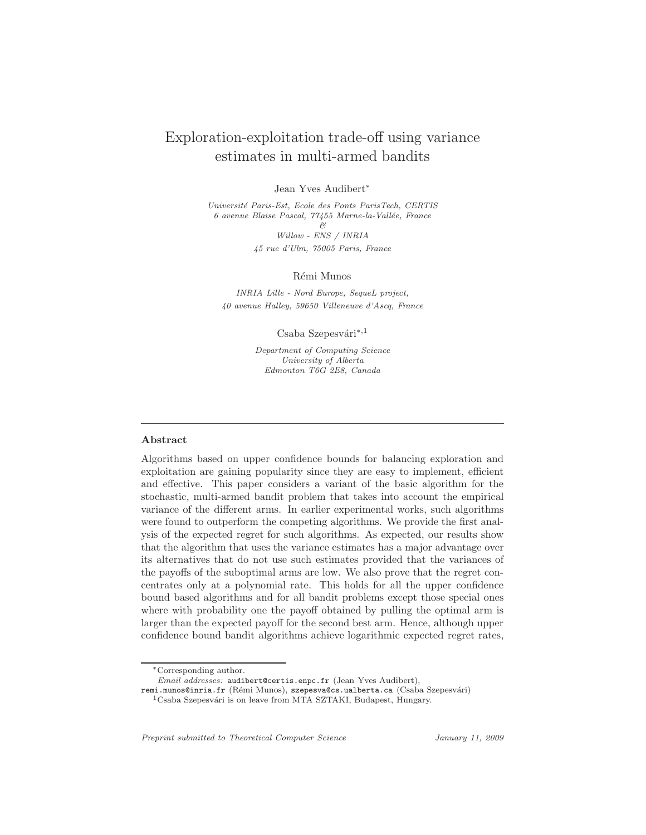# Exploration-exploitation trade-off using variance estimates in multi-armed bandits

Jean Yves Audibert∗

Universit´e Paris-Est, Ecole des Ponts ParisTech, CERTIS 6 avenue Blaise Pascal, 77455 Marne-la-Vallée, France  $\beta$ 

> Willow - ENS / INRIA 45 rue d'Ulm, 75005 Paris, France

> > Rémi Munos

INRIA Lille - Nord Europe, SequeL project, 40 avenue Halley, 59650 Villeneuve d'Ascq, France

Csaba Szepesvári $*$ ,1

Department of Computing Science University of Alberta Edmonton T6G 2E8, Canada

# Abstract

Algorithms based on upper confidence bounds for balancing exploration and exploitation are gaining popularity since they are easy to implement, efficient and effective. This paper considers a variant of the basic algorithm for the stochastic, multi-armed bandit problem that takes into account the empirical variance of the different arms. In earlier experimental works, such algorithms were found to outperform the competing algorithms. We provide the first analysis of the expected regret for such algorithms. As expected, our results show that the algorithm that uses the variance estimates has a major advantage over its alternatives that do not use such estimates provided that the variances of the payoffs of the suboptimal arms are low. We also prove that the regret concentrates only at a polynomial rate. This holds for all the upper confidence bound based algorithms and for all bandit problems except those special ones where with probability one the payoff obtained by pulling the optimal arm is larger than the expected payoff for the second best arm. Hence, although upper confidence bound bandit algorithms achieve logarithmic expected regret rates,

remi.munos@inria.fr (Rémi Munos), szepesva@cs.ualberta.ca (Csaba Szepesvári)

Preprint submitted to Theoretical Computer Science *January 11, 2009* 

<sup>∗</sup>Corresponding author.

Email addresses: audibert@certis.enpc.fr (Jean Yves Audibert),

 $^1\mathbf{C}$ saba Szepesvári is on leave from MTA SZTAKI, Budapest, Hungary.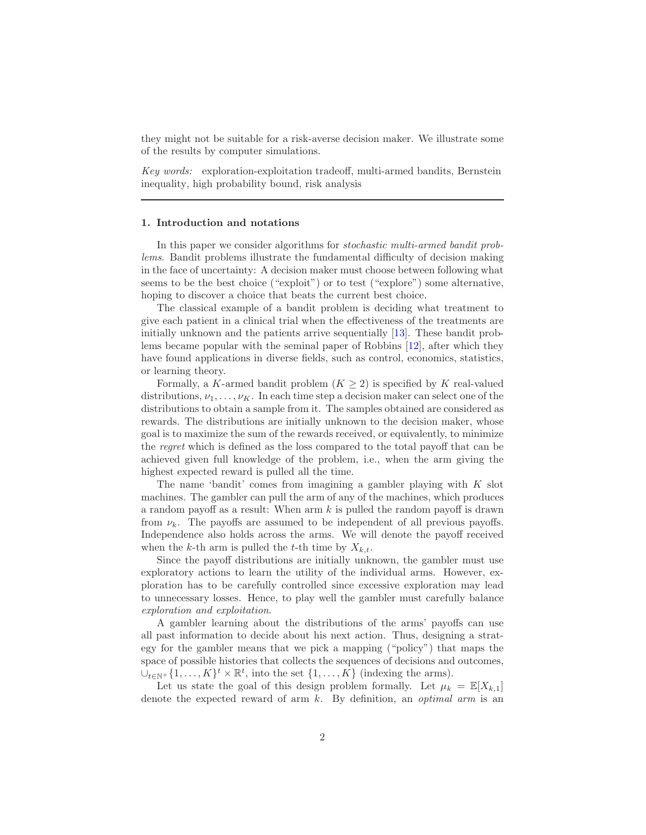they might not be suitable for a risk-averse decision maker. We illustrate some of the results by computer simulations.

*Key words:* exploration-exploitation tradeoff, multi-armed bandits, Bernstein inequality, high probability bound, risk analysis

# 1. Introduction and notations

In this paper we consider algorithms for *stochastic multi-armed bandit problems*. Bandit problems illustrate the fundamental difficulty of decision making in the face of uncertainty: A decision maker must choose between following what seems to be the best choice ("exploit") or to test ("explore") some alternative, hoping to discover a choice that beats the current best choice.

The classical example of a bandit problem is deciding what treatment to give each patient in a clinical trial when the effectiveness of the treatments are initially unknown and the patients arrive sequentially [\[13\]](#page-41-0). These bandit problems became popular with the seminal paper of Robbins [\[12](#page-41-1)], after which they have found applications in diverse fields, such as control, economics, statistics, or learning theory.

Formally, a K-armed bandit problem  $(K \geq 2)$  is specified by K real-valued distributions,  $\nu_1, \ldots, \nu_K$ . In each time step a decision maker can select one of the distributions to obtain a sample from it. The samples obtained are considered as rewards. The distributions are initially unknown to the decision maker, whose goal is to maximize the sum of the rewards received, or equivalently, to minimize the *regret* which is defined as the loss compared to the total payoff that can be achieved given full knowledge of the problem, i.e., when the arm giving the highest expected reward is pulled all the time.

The name 'bandit' comes from imagining a gambler playing with  $K$  slot machines. The gambler can pull the arm of any of the machines, which produces a random payoff as a result: When  $arm k$  is pulled the random payoff is drawn from  $\nu_k$ . The payoffs are assumed to be independent of all previous payoffs. Independence also holds across the arms. We will denote the payoff received when the k-th arm is pulled the t-th time by  $X_{k,t}$ .

Since the payoff distributions are initially unknown, the gambler must use exploratory actions to learn the utility of the individual arms. However, exploration has to be carefully controlled since excessive exploration may lead to unnecessary losses. Hence, to play well the gambler must carefully balance *exploration and exploitation*.

A gambler learning about the distributions of the arms' payoffs can use all past information to decide about his next action. Thus, designing a strategy for the gambler means that we pick a mapping ("policy") that maps the space of possible histories that collects the sequences of decisions and outcomes,  $\cup_{t\in\mathbb{N}^+}\{1,\ldots,K\}^t\times\mathbb{R}^t$ , into the set  $\{1,\ldots,K\}$  (indexing the arms).

Let us state the goal of this design problem formally. Let  $\mu_k = \mathbb{E}[X_{k,1}]$ denote the expected reward of arm k. By definition, an *optimal arm* is an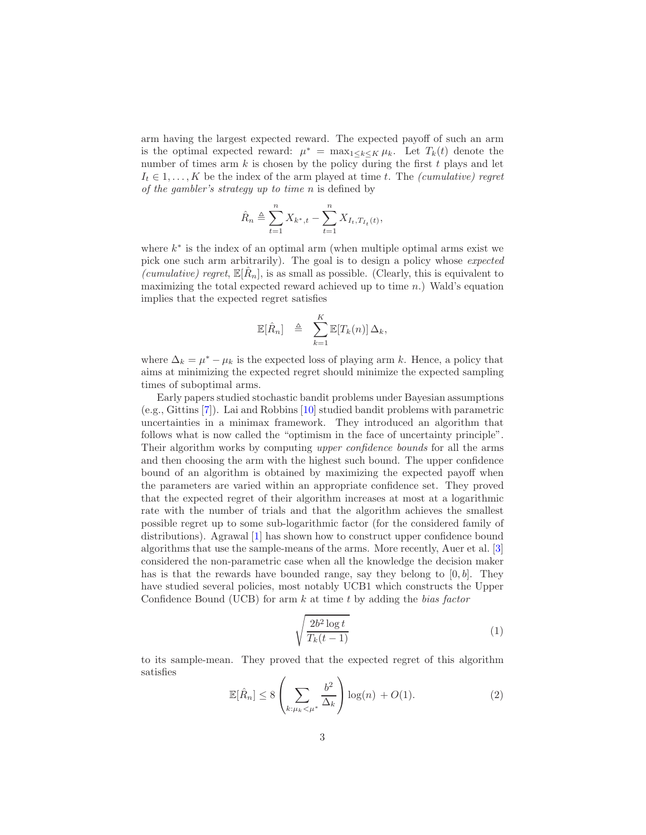arm having the largest expected reward. The expected payoff of such an arm is the optimal expected reward:  $\mu^* = \max_{1 \leq k \leq K} \mu_k$ . Let  $T_k(t)$  denote the number of times arm  $k$  is chosen by the policy during the first  $t$  plays and let  $I_t \in {1, \ldots, K}$  be the index of the arm played at time t. The *(cumulative) regret of the gambler's strategy up to time* n is defined by

$$
\hat{R}_n \triangleq \sum_{t=1}^n X_{k^*,t} - \sum_{t=1}^n X_{I_t,T_{I_t}(t)},
$$

where  $k^*$  is the index of an optimal arm (when multiple optimal arms exist we pick one such arm arbitrarily). The goal is to design a policy whose *expected* (*cumulative*) regret,  $\mathbb{E}[\hat{R}_n]$ , is as small as possible. (Clearly, this is equivalent to maximizing the total expected reward achieved up to time  $n$ .) Wald's equation implies that the expected regret satisfies

$$
\mathbb{E}[\hat{R}_n] \triangleq \sum_{k=1}^K \mathbb{E}[T_k(n)] \Delta_k,
$$

where  $\Delta_k = \mu^* - \mu_k$  is the expected loss of playing arm k. Hence, a policy that aims at minimizing the expected regret should minimize the expected sampling times of suboptimal arms.

Early papers studied stochastic bandit problems under Bayesian assumptions (e.g., Gittins [\[7\]](#page-41-2)). Lai and Robbins [\[10](#page-41-3)] studied bandit problems with parametric uncertainties in a minimax framework. They introduced an algorithm that follows what is now called the "optimism in the face of uncertainty principle". Their algorithm works by computing *upper confidence bounds* for all the arms and then choosing the arm with the highest such bound. The upper confidence bound of an algorithm is obtained by maximizing the expected payoff when the parameters are varied within an appropriate confidence set. They proved that the expected regret of their algorithm increases at most at a logarithmic rate with the number of trials and that the algorithm achieves the smallest possible regret up to some sub-logarithmic factor (for the considered family of distributions). Agrawal [\[1](#page-40-0)] has shown how to construct upper confidence bound algorithms that use the sample-means of the arms. More recently, Auer et al. [\[3\]](#page-41-4) considered the non-parametric case when all the knowledge the decision maker has is that the rewards have bounded range, say they belong to  $[0, b]$ . They have studied several policies, most notably UCB1 which constructs the Upper Confidence Bound (UCB) for arm k at time t by adding the *bias factor*

<span id="page-2-1"></span>
$$
\sqrt{\frac{2b^2\log t}{T_k(t-1)}}\tag{1}
$$

to its sample-mean. They proved that the expected regret of this algorithm satisfies

<span id="page-2-0"></span>
$$
\mathbb{E}[\hat{R}_n] \le 8 \left( \sum_{k:\mu_k < \mu^*} \frac{b^2}{\Delta_k} \right) \log(n) + O(1). \tag{2}
$$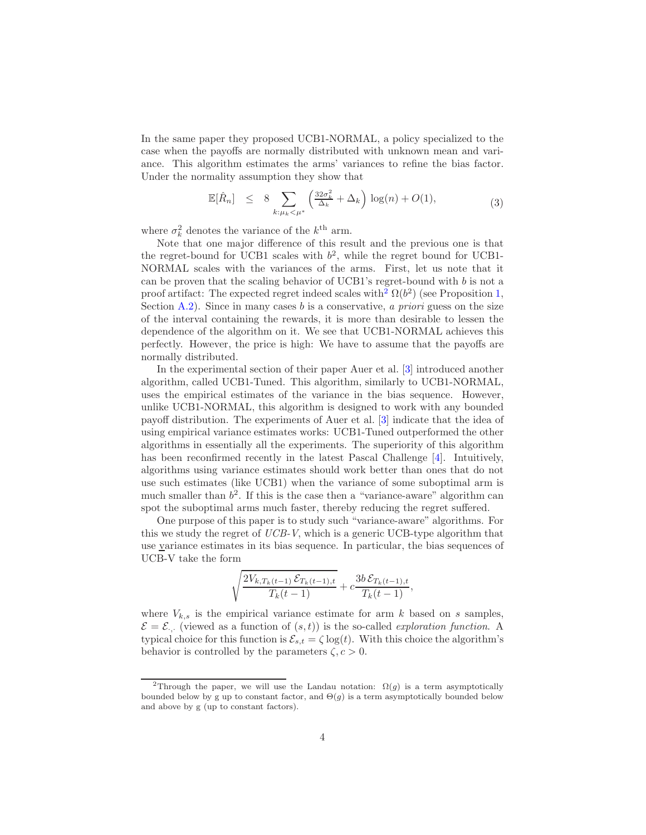In the same paper they proposed UCB1-NORMAL, a policy specialized to the case when the payoffs are normally distributed with unknown mean and variance. This algorithm estimates the arms' variances to refine the bias factor. Under the normality assumption they show that

<span id="page-3-1"></span>
$$
\mathbb{E}[\hat{R}_n] \le 8 \sum_{k:\mu_k < \mu^*} \left(\frac{32\sigma_k^2}{\Delta_k} + \Delta_k\right) \log(n) + O(1),\tag{3}
$$

where  $\sigma_k^2$  denotes the variance of the  $k^{\text{th}}$  arm.

Note that one major difference of this result and the previous one is that the regret-bound for UCB1 scales with  $b^2$ , while the regret bound for UCB1-NORMAL scales with the variances of the arms. First, let us note that it can be proven that the scaling behavior of UCB1's regret-bound with b is not a proof artifact: The expected regret indeed scales with<sup>[2](#page-3-0)</sup>  $\Omega(b^2)$  (see Proposition [1,](#page-32-0) Section [A.2\)](#page-32-1). Since in many cases b is a conservative, *a priori* guess on the size of the interval containing the rewards, it is more than desirable to lessen the dependence of the algorithm on it. We see that UCB1-NORMAL achieves this perfectly. However, the price is high: We have to assume that the payoffs are normally distributed.

In the experimental section of their paper Auer et al. [\[3\]](#page-41-4) introduced another algorithm, called UCB1-Tuned. This algorithm, similarly to UCB1-NORMAL, uses the empirical estimates of the variance in the bias sequence. However, unlike UCB1-NORMAL, this algorithm is designed to work with any bounded payoff distribution. The experiments of Auer et al. [\[3](#page-41-4)] indicate that the idea of using empirical variance estimates works: UCB1-Tuned outperformed the other algorithms in essentially all the experiments. The superiority of this algorithm has been reconfirmed recently in the latest Pascal Challenge [\[4](#page-41-5)]. Intuitively, algorithms using variance estimates should work better than ones that do not use such estimates (like UCB1) when the variance of some suboptimal arm is much smaller than  $b^2$ . If this is the case then a "variance-aware" algorithm can spot the suboptimal arms much faster, thereby reducing the regret suffered.

One purpose of this paper is to study such "variance-aware" algorithms. For this we study the regret of *UCB-V*, which is a generic UCB-type algorithm that use variance estimates in its bias sequence. In particular, the bias sequences of UCB-V take the form

$$
\sqrt{\frac{2V_{k,T_k(t-1)}\mathcal{E}_{T_k(t-1),t}}{T_k(t-1)}} + c \frac{3b \mathcal{E}_{T_k(t-1),t}}{T_k(t-1)},
$$

where  $V_{k,s}$  is the empirical variance estimate for arm k based on s samples,  $\mathcal{E} = \mathcal{E}$ . (viewed as a function of  $(s, t)$ ) is the so-called *exploration function*. A typical choice for this function is  $\mathcal{E}_{s,t} = \zeta \log(t)$ . With this choice the algorithm's behavior is controlled by the parameters  $\zeta$ ,  $c > 0$ .

<span id="page-3-0"></span><sup>&</sup>lt;sup>2</sup>Through the paper, we will use the Landau notation:  $\Omega(g)$  is a term asymptotically bounded below by g up to constant factor, and  $\Theta(g)$  is a term asymptotically bounded below and above by g (up to constant factors).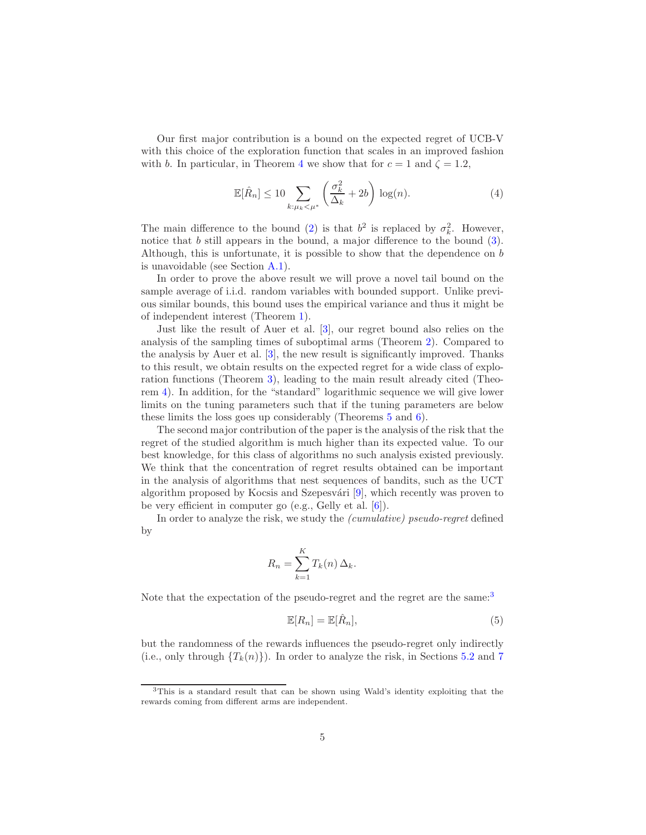Our first major contribution is a bound on the expected regret of UCB-V with this choice of the exploration function that scales in an improved fashion with b. In particular, in Theorem [4](#page-12-0) we show that for  $c = 1$  and  $\zeta = 1.2$ ,

<span id="page-4-2"></span>
$$
\mathbb{E}[\hat{R}_n] \le 10 \sum_{k:\mu_k < \mu^*} \left(\frac{\sigma_k^2}{\Delta_k} + 2b\right) \log(n). \tag{4}
$$

The main difference to the bound [\(2\)](#page-2-0) is that  $b^2$  is replaced by  $\sigma_k^2$ . However, notice that b still appears in the bound, a major difference to the bound  $(3)$ . Although, this is unfortunate, it is possible to show that the dependence on b is unavoidable (see Section [A.1\)](#page-31-0).

In order to prove the above result we will prove a novel tail bound on the sample average of i.i.d. random variables with bounded support. Unlike previous similar bounds, this bound uses the empirical variance and thus it might be of independent interest (Theorem [1\)](#page-7-0).

Just like the result of Auer et al. [\[3\]](#page-41-4), our regret bound also relies on the analysis of the sampling times of suboptimal arms (Theorem [2\)](#page-9-0). Compared to the analysis by Auer et al. [\[3](#page-41-4)], the new result is significantly improved. Thanks to this result, we obtain results on the expected regret for a wide class of exploration functions (Theorem [3\)](#page-10-0), leading to the main result already cited (Theorem [4\)](#page-12-0). In addition, for the "standard" logarithmic sequence we will give lower limits on the tuning parameters such that if the tuning parameters are below these limits the loss goes up considerably (Theorems [5](#page-13-0) and [6\)](#page-15-0).

The second major contribution of the paper is the analysis of the risk that the regret of the studied algorithm is much higher than its expected value. To our best knowledge, for this class of algorithms no such analysis existed previously. We think that the concentration of regret results obtained can be important in the analysis of algorithms that nest sequences of bandits, such as the UCT algorithm proposed by Kocsis and Szepesvári  $[9]$ , which recently was proven to be very efficient in computer go (e.g., Gelly et al. [\[6\]](#page-41-7)).

In order to analyze the risk, we study the *(cumulative) pseudo-regret* defined by

$$
R_n = \sum_{k=1}^{K} T_k(n) \Delta_k.
$$

Note that the expectation of the pseudo-regret and the regret are the same:<sup>[3](#page-4-0)</sup>

<span id="page-4-1"></span>
$$
\mathbb{E}[R_n] = \mathbb{E}[\hat{R}_n],\tag{5}
$$

but the randomness of the rewards influences the pseudo-regret only indirectly (i.e., only through  $\{T_k(n)\}\)$ . In order to analyze the risk, in Sections [5.2](#page-18-0) and [7](#page-29-0)

<span id="page-4-0"></span><sup>3</sup>This is a standard result that can be shown using Wald's identity exploiting that the rewards coming from different arms are independent.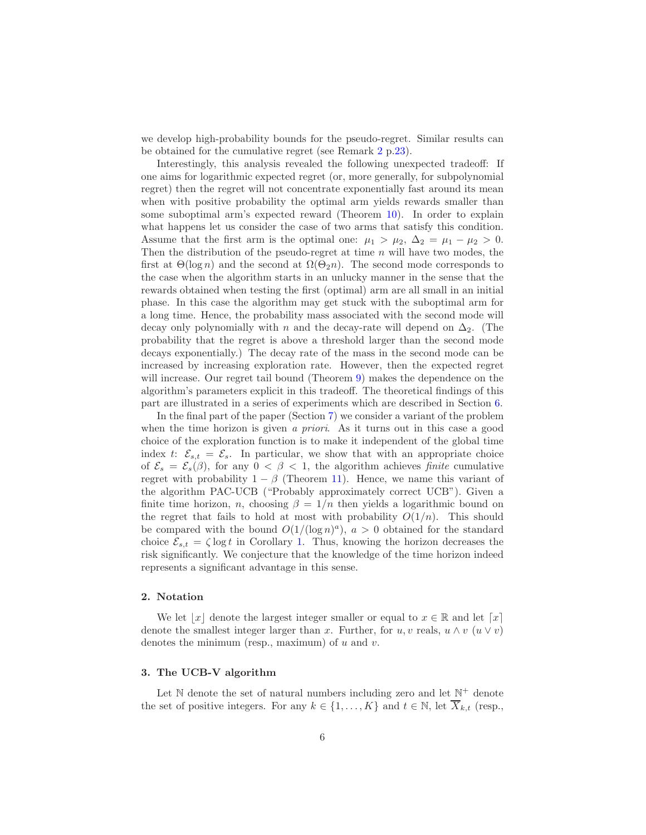we develop high-probability bounds for the pseudo-regret. Similar results can be obtained for the cumulative regret (see Remark [2](#page-22-0) p[.23\)](#page-22-0).

Interestingly, this analysis revealed the following unexpected tradeoff: If one aims for logarithmic expected regret (or, more generally, for subpolynomial regret) then the regret will not concentrate exponentially fast around its mean when with positive probability the optimal arm yields rewards smaller than some suboptimal arm's expected reward (Theorem [10\)](#page-20-0). In order to explain what happens let us consider the case of two arms that satisfy this condition. Assume that the first arm is the optimal one:  $\mu_1 > \mu_2$ ,  $\Delta_2 = \mu_1 - \mu_2 > 0$ . Then the distribution of the pseudo-regret at time  $n$  will have two modes, the first at  $\Theta(\log n)$  and the second at  $\Omega(\Theta_2 n)$ . The second mode corresponds to the case when the algorithm starts in an unlucky manner in the sense that the rewards obtained when testing the first (optimal) arm are all small in an initial phase. In this case the algorithm may get stuck with the suboptimal arm for a long time. Hence, the probability mass associated with the second mode will decay only polynomially with n and the decay-rate will depend on  $\Delta_2$ . (The probability that the regret is above a threshold larger than the second mode decays exponentially.) The decay rate of the mass in the second mode can be increased by increasing exploration rate. However, then the expected regret will increase. Our regret tail bound (Theorem [9\)](#page-18-1) makes the dependence on the algorithm's parameters explicit in this tradeoff. The theoretical findings of this part are illustrated in a series of experiments which are described in Section [6.](#page-23-0)

In the final part of the paper (Section [7\)](#page-29-0) we consider a variant of the problem when the time horizon is given *a priori*. As it turns out in this case a good choice of the exploration function is to make it independent of the global time index t:  $\mathcal{E}_{s,t} = \mathcal{E}_s$ . In particular, we show that with an appropriate choice of  $\mathcal{E}_s = \mathcal{E}_s(\beta)$ , for any  $0 < \beta < 1$ , the algorithm achieves *finite* cumulative regret with probability  $1 - \beta$  (Theorem [11\)](#page-29-1). Hence, we name this variant of the algorithm PAC-UCB ("Probably approximately correct UCB"). Given a finite time horizon, n, choosing  $\beta = 1/n$  then yields a logarithmic bound on the regret that fails to hold at most with probability  $O(1/n)$ . This should be compared with the bound  $O(1/(\log n)^a)$ ,  $a > 0$  obtained for the standard choice  $\mathcal{E}_{s,t} = \zeta \log t$  in Corollary [1.](#page-19-0) Thus, knowing the horizon decreases the risk significantly. We conjecture that the knowledge of the time horizon indeed represents a significant advantage in this sense.

# 2. Notation

We let  $|x|$  denote the largest integer smaller or equal to  $x \in \mathbb{R}$  and let  $\lceil x \rceil$ denote the smallest integer larger than x. Further, for u, v reals,  $u \wedge v$   $(u \vee v)$ denotes the minimum (resp., maximum) of  $u$  and  $v$ .

# 3. The UCB-V algorithm

Let  $\mathbb N$  denote the set of natural numbers including zero and let  $\mathbb N^+$  denote the set of positive integers. For any  $k \in \{1, ..., K\}$  and  $t \in \mathbb{N}$ , let  $\overline{X}_{k,t}$  (resp.,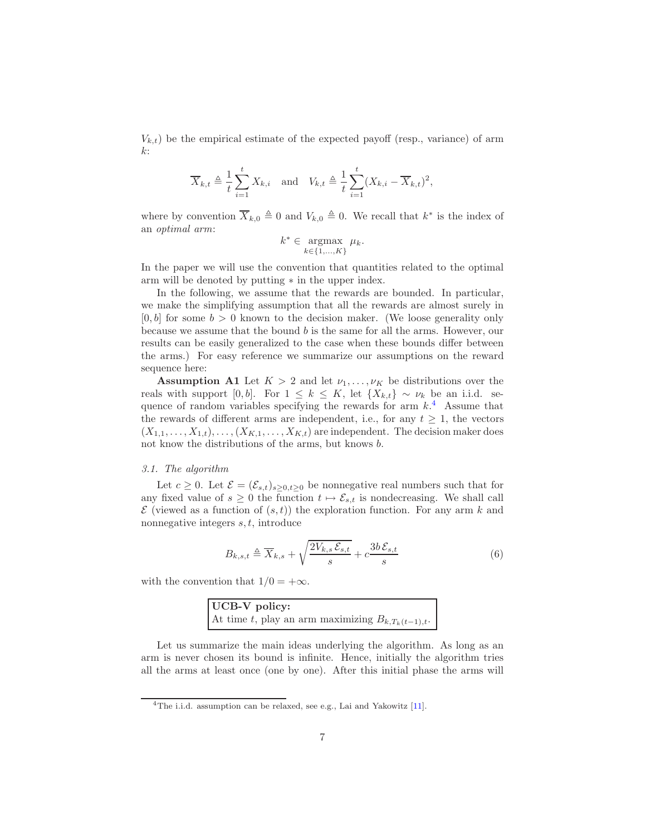$V_{k,t}$ ) be the empirical estimate of the expected payoff (resp., variance) of arm  $k$ :

$$
\overline{X}_{k,t} \triangleq \frac{1}{t} \sum_{i=1}^{t} X_{k,i} \quad \text{and} \quad V_{k,t} \triangleq \frac{1}{t} \sum_{i=1}^{t} (X_{k,i} - \overline{X}_{k,t})^2,
$$

where by convention  $\overline{X}_{k,0} \triangleq 0$  and  $V_{k,0} \triangleq 0$ . We recall that  $k^*$  is the index of an *optimal arm*:

$$
k^* \in \operatorname*{argmax}_{k \in \{1, \ldots, K\}} \mu_k.
$$

In the paper we will use the convention that quantities related to the optimal arm will be denoted by putting ∗ in the upper index.

In the following, we assume that the rewards are bounded. In particular, we make the simplifying assumption that all the rewards are almost surely in  $[0, b]$  for some  $b > 0$  known to the decision maker. (We loose generality only because we assume that the bound  $b$  is the same for all the arms. However, our results can be easily generalized to the case when these bounds differ between the arms.) For easy reference we summarize our assumptions on the reward sequence here:

**Assumption A1** Let  $K > 2$  and let  $\nu_1, \ldots, \nu_K$  be distributions over the reals with support [0, b]. For  $1 \leq k \leq K$ , let  $\{X_{k,t}\}\sim \nu_k$  be an i.i.d. sequence of random variables specifying the rewards for arm  $k$ <sup>[4](#page-6-0)</sup>. Assume that the rewards of different arms are independent, i.e., for any  $t \geq 1$ , the vectors  $(X_{1,1},\ldots,X_{1,t}),\ldots,(X_{K,1},\ldots,X_{K,t})$  are independent. The decision maker does not know the distributions of the arms, but knows b.

#### *3.1. The algorithm*

Let  $c \geq 0$ . Let  $\mathcal{E} = (\mathcal{E}_{s,t})_{s \geq 0, t \geq 0}$  be nonnegative real numbers such that for any fixed value of  $s \geq 0$  the function  $t \mapsto \mathcal{E}_{s,t}$  is nondecreasing. We shall call  $\mathcal E$  (viewed as a function of  $(s,t)$ ) the exploration function. For any arm k and nonnegative integers  $s, t$ , introduce

<span id="page-6-1"></span>
$$
B_{k,s,t} \triangleq \overline{X}_{k,s} + \sqrt{\frac{2V_{k,s}\mathcal{E}_{s,t}}{s}} + c\frac{3b\mathcal{E}_{s,t}}{s}
$$
(6)

with the convention that  $1/0 = +\infty$ .

| UCB-V policy:                                          |  |  |
|--------------------------------------------------------|--|--|
| At time t, play an arm maximizing $B_{k,T_k(t-1),t}$ . |  |  |

Let us summarize the main ideas underlying the algorithm. As long as an arm is never chosen its bound is infinite. Hence, initially the algorithm tries all the arms at least once (one by one). After this initial phase the arms will

<span id="page-6-0"></span><sup>&</sup>lt;sup>4</sup>The i.i.d. assumption can be relaxed, see e.g., Lai and Yakowitz [\[11](#page-41-8)].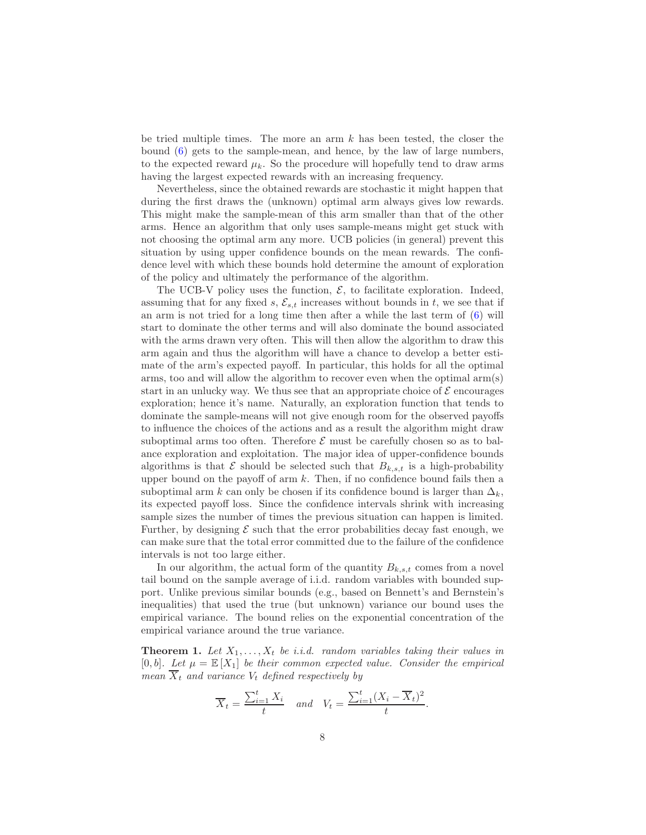be tried multiple times. The more an arm  $k$  has been tested, the closer the bound [\(6\)](#page-6-1) gets to the sample-mean, and hence, by the law of large numbers, to the expected reward  $\mu_k$ . So the procedure will hopefully tend to draw arms having the largest expected rewards with an increasing frequency.

Nevertheless, since the obtained rewards are stochastic it might happen that during the first draws the (unknown) optimal arm always gives low rewards. This might make the sample-mean of this arm smaller than that of the other arms. Hence an algorithm that only uses sample-means might get stuck with not choosing the optimal arm any more. UCB policies (in general) prevent this situation by using upper confidence bounds on the mean rewards. The confidence level with which these bounds hold determine the amount of exploration of the policy and ultimately the performance of the algorithm.

The UCB-V policy uses the function,  $\mathcal{E}$ , to facilitate exploration. Indeed, assuming that for any fixed s,  $\mathcal{E}_{s,t}$  increases without bounds in t, we see that if an arm is not tried for a long time then after a while the last term of [\(6\)](#page-6-1) will start to dominate the other terms and will also dominate the bound associated with the arms drawn very often. This will then allow the algorithm to draw this arm again and thus the algorithm will have a chance to develop a better estimate of the arm's expected payoff. In particular, this holds for all the optimal arms, too and will allow the algorithm to recover even when the optimal arm(s) start in an unlucky way. We thus see that an appropriate choice of  $\mathcal E$  encourages exploration; hence it's name. Naturally, an exploration function that tends to dominate the sample-means will not give enough room for the observed payoffs to influence the choices of the actions and as a result the algorithm might draw suboptimal arms too often. Therefore  $\mathcal E$  must be carefully chosen so as to balance exploration and exploitation. The major idea of upper-confidence bounds algorithms is that  $\mathcal E$  should be selected such that  $B_{k,s,t}$  is a high-probability upper bound on the payoff of arm  $k$ . Then, if no confidence bound fails then a suboptimal arm k can only be chosen if its confidence bound is larger than  $\Delta_k$ , its expected payoff loss. Since the confidence intervals shrink with increasing sample sizes the number of times the previous situation can happen is limited. Further, by designing  $\mathcal E$  such that the error probabilities decay fast enough, we can make sure that the total error committed due to the failure of the confidence intervals is not too large either.

In our algorithm, the actual form of the quantity  $B_{k,s,t}$  comes from a novel tail bound on the sample average of i.i.d. random variables with bounded support. Unlike previous similar bounds (e.g., based on Bennett's and Bernstein's inequalities) that used the true (but unknown) variance our bound uses the empirical variance. The bound relies on the exponential concentration of the empirical variance around the true variance.

<span id="page-7-0"></span>**Theorem 1.** Let  $X_1, \ldots, X_t$  be i.i.d. random variables taking their values in [0, b]. Let  $\mu = \mathbb{E}[X_1]$  be their common expected value. Consider the empirical *mean*  $\overline{X}_t$  *and variance*  $V_t$  *defined respectively by* 

$$
\overline{X}_t = \frac{\sum_{i=1}^t X_i}{t} \quad \text{and} \quad V_t = \frac{\sum_{i=1}^t (X_i - \overline{X}_t)^2}{t}.
$$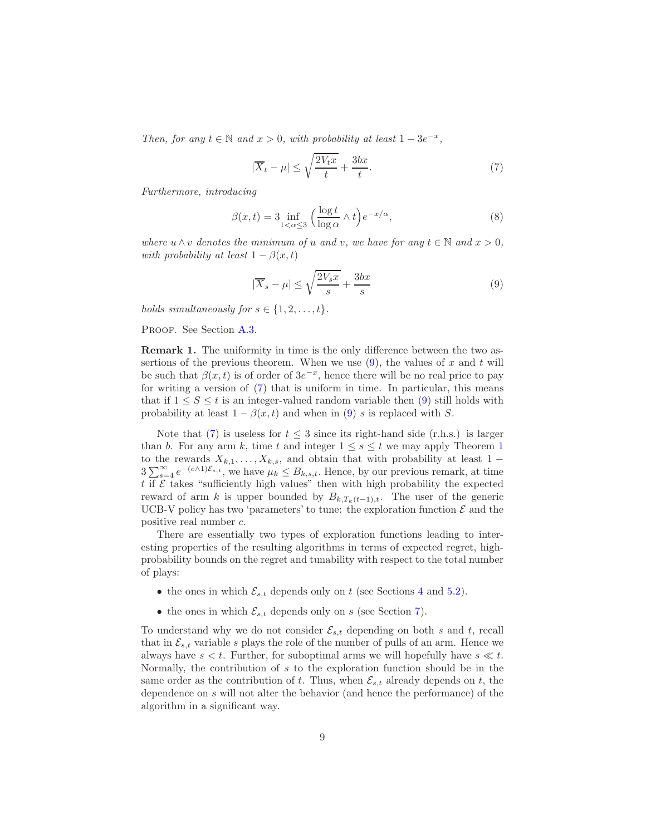*Then, for any*  $t \in \mathbb{N}$  *and*  $x > 0$ *, with probability at least*  $1 - 3e^{-x}$ *,* 

<span id="page-8-1"></span>
$$
|\overline{X}_t - \mu| \le \sqrt{\frac{2V_t x}{t}} + \frac{3bx}{t}.\tag{7}
$$

*Furthermore, introducing*

<span id="page-8-2"></span>
$$
\beta(x,t) = 3 \inf_{1 < \alpha \le 3} \left( \frac{\log t}{\log \alpha} \wedge t \right) e^{-x/\alpha},\tag{8}
$$

*where*  $u \wedge v$  *denotes the minimum of*  $u$  *and*  $v$ *, we have for any*  $t \in \mathbb{N}$  *and*  $x > 0$ *, with probability at least*  $1 - \beta(x, t)$ 

<span id="page-8-0"></span>
$$
|\overline{X}_s - \mu| \le \sqrt{\frac{2V_s x}{s}} + \frac{3bx}{s} \tag{9}
$$

*holds simultaneously for*  $s \in \{1, 2, \ldots, t\}$ .

<span id="page-8-3"></span>PROOF. See Section [A.3.](#page-33-0)

Remark 1. The uniformity in time is the only difference between the two assertions of the previous theorem. When we use  $(9)$ , the values of x and t will be such that  $\beta(x,t)$  is of order of  $3e^{-x}$ , hence there will be no real price to pay for writing a version of [\(7\)](#page-8-1) that is uniform in time. In particular, this means that if  $1 \leq S \leq t$  is an integer-valued random variable then [\(9\)](#page-8-0) still holds with probability at least  $1 - \beta(x, t)$  and when in [\(9\)](#page-8-0) s is replaced with S.

Note that [\(7\)](#page-8-1) is useless for  $t \leq 3$  since its right-hand side (r.h.s.) is larger than b. For any arm k, time t and integer  $1 \leq s \leq t$  $1 \leq s \leq t$  we may apply Theorem 1 to the rewards  $X_{k,1}, \ldots, X_{k,s}$ , and obtain that with probability at least 1 −  $3\sum_{s=4}^{\infty}e^{-(c\wedge 1)\mathcal{E}_{s,t}}$ , we have  $\mu_k \leq B_{k,s,t}$ . Hence, by our previous remark, at time t if  $\mathcal E$  takes "sufficiently high values" then with high probability the expected reward of arm k is upper bounded by  $B_{k,T_k(t-1),t}$ . The user of the generic UCB-V policy has two 'parameters' to tune: the exploration function  $\mathcal E$  and the positive real number c.

There are essentially two types of exploration functions leading to interesting properties of the resulting algorithms in terms of expected regret, highprobability bounds on the regret and tunability with respect to the total number of plays:

- the ones in which  $\mathcal{E}_{s,t}$  depends only on t (see Sections [4](#page-10-1) and [5.2\)](#page-18-0).
- the ones in which  $\mathcal{E}_{s,t}$  depends only on s (see Section [7\)](#page-29-0).

To understand why we do not consider  $\mathcal{E}_{s,t}$  depending on both s and t, recall that in  $\mathcal{E}_{s,t}$  variable s plays the role of the number of pulls of an arm. Hence we always have  $s < t$ . Further, for suboptimal arms we will hopefully have  $s \ll t$ . Normally, the contribution of s to the exploration function should be in the same order as the contribution of t. Thus, when  $\mathcal{E}_{s,t}$  already depends on t, the dependence on s will not alter the behavior (and hence the performance) of the algorithm in a significant way.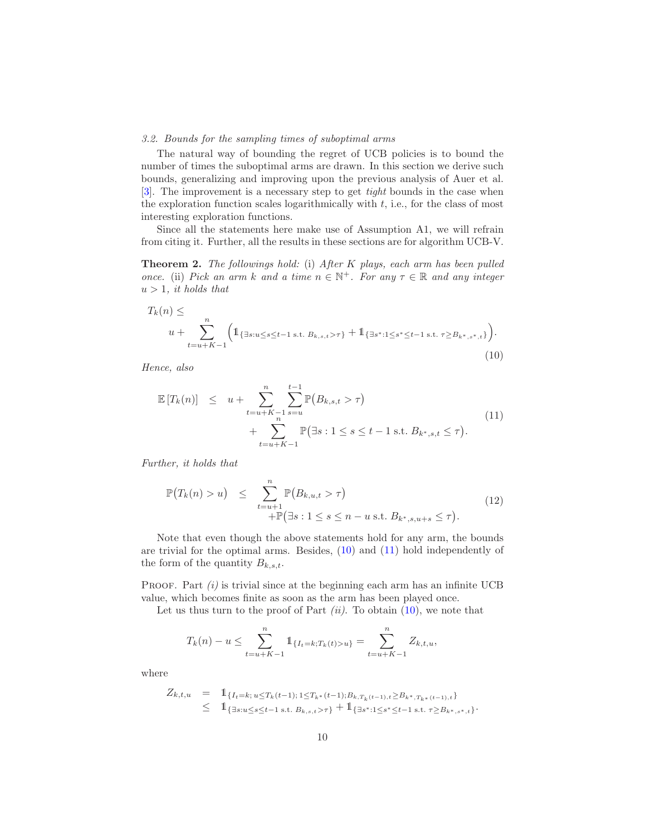# *3.2. Bounds for the sampling times of suboptimal arms*

The natural way of bounding the regret of UCB policies is to bound the number of times the suboptimal arms are drawn. In this section we derive such bounds, generalizing and improving upon the previous analysis of Auer et al. [\[3\]](#page-41-4). The improvement is a necessary step to get *tight* bounds in the case when the exploration function scales logarithmically with  $t$ , i.e., for the class of most interesting exploration functions.

<span id="page-9-0"></span>Since all the statements here make use of Assumption A1, we will refrain from citing it. Further, all the results in these sections are for algorithm UCB-V.

Theorem 2. *The followings hold:* (i) *After* K *plays, each arm has been pulled once.* (ii) *Pick an arm* k *and* a time  $n \in \mathbb{N}^+$ *. For any*  $\tau \in \mathbb{R}$  *and any integer*  $u > 1$ *, it holds that* 

<span id="page-9-1"></span>
$$
T_k(n) \le
$$
  
  $u + \sum_{t=u+K-1}^n \left( 1_{\{\exists s: u \le s \le t-1 \text{ s.t. } B_{k,s,t} > \tau\}} + 1_{\{\exists s^*: 1 \le s^* \le t-1 \text{ s.t. } \tau \ge B_{k^*,s^*,t}\}} \right).$   
(10)

*Hence, also*

<span id="page-9-2"></span>
$$
\mathbb{E}[T_k(n)] \leq u + \sum_{t=u+K-1}^{n} \sum_{s=u}^{t-1} \mathbb{P}(B_{k,s,t} > \tau) + \sum_{t=u+K-1}^{n} \mathbb{P}(\exists s : 1 \leq s \leq t-1 \text{ s.t. } B_{k^*,s,t} \leq \tau).
$$
\n(11)

*Further, it holds that*

<span id="page-9-3"></span>
$$
\mathbb{P}(T_k(n) > u) \leq \sum_{t=u+1}^n \mathbb{P}(B_{k,u,t} > \tau) \\
\quad + \mathbb{P}(\exists s: 1 \leq s \leq n - u \text{ s.t. } B_{k^*,s,u+s} \leq \tau). \tag{12}
$$

Note that even though the above statements hold for any arm, the bounds are trivial for the optimal arms. Besides, [\(10\)](#page-9-1) and [\(11\)](#page-9-2) hold independently of the form of the quantity  $B_{k,s,t}$ .

PROOF. Part *(i)* is trivial since at the beginning each arm has an infinite UCB value, which becomes finite as soon as the arm has been played once.

Let us thus turn to the proof of Part  $(ii)$ . To obtain  $(10)$ , we note that

$$
T_k(n) - u \le \sum_{t=u+K-1}^n \mathbb{1}_{\{I_t=k;T_k(t)>u\}} = \sum_{t=u+K-1}^n Z_{k,t,u},
$$

where

$$
Z_{k,t,u} = \mathbb{1}_{\{I_t = k; u \le T_k(t-1); 1 \le T_{k^*}(t-1); B_{k,T_k(t-1),t} \ge B_{k^*,T_{k^*}(t-1),t}\}} \le \mathbb{1}_{\{\exists s: u \le s \le t-1 \text{ s.t. } B_{k,s,t} > \tau\}} + \mathbb{1}_{\{\exists s^*: 1 \le s^* \le t-1 \text{ s.t. } \tau \ge B_{k^*,s^*,t}\}}.
$$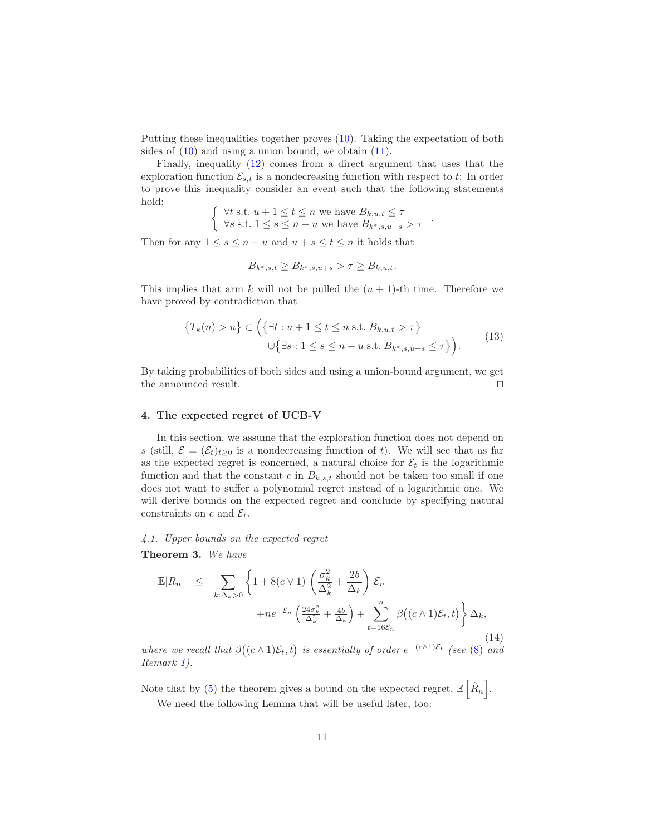Putting these inequalities together proves [\(10\)](#page-9-1). Taking the expectation of both sides of  $(10)$  and using a union bound, we obtain  $(11)$ .

Finally, inequality [\(12\)](#page-9-3) comes from a direct argument that uses that the exploration function  $\mathcal{E}_{s,t}$  is a nondecreasing function with respect to t: In order to prove this inequality consider an event such that the following statements hold:

 $\int \forall t \text{ s.t. } u + 1 \leq t \leq n \text{ we have } B_{k,u,t} \leq \tau$  $\forall s \text{ s.t. } 1 \leq s \leq n - u \text{ we have } B_{k^*,s,u+s} > \tau$ 

Then for any  $1 \leq s \leq n - u$  and  $u + s \leq t \leq n$  it holds that

$$
B_{k^*,s,t} \ge B_{k^*,s,u+s} > \tau \ge B_{k,u,t}.
$$

This implies that arm k will not be pulled the  $(u + 1)$ -th time. Therefore we have proved by contradiction that

<span id="page-10-4"></span>
$$
\{T_k(n) > u\} \subset \left(\{\exists t : u + 1 \le t \le n \text{ s.t. } B_{k,u,t} > \tau\}\right)
$$
  

$$
\cup \{\exists s : 1 \le s \le n - u \text{ s.t. } B_{k^*,s,u+s} \le \tau\}\right).
$$
 $(13)$ 

.

By taking probabilities of both sides and using a union-bound argument, we get the announced result. ⊓⊔

# <span id="page-10-1"></span>4. The expected regret of UCB-V

In this section, we assume that the exploration function does not depend on s (still,  $\mathcal{E} = (\mathcal{E}_t)_{t>0}$  is a nondecreasing function of t). We will see that as far as the expected regret is concerned, a natural choice for  $\mathcal{E}_t$  is the logarithmic function and that the constant c in  $B_{k,s,t}$  should not be taken too small if one does not want to suffer a polynomial regret instead of a logarithmic one. We will derive bounds on the expected regret and conclude by specifying natural constraints on c and  $\mathcal{E}_t$ .

<span id="page-10-0"></span>*4.1. Upper bounds on the expected regret* Theorem 3. *We have*

<span id="page-10-3"></span>
$$
\mathbb{E}[R_n] \leq \sum_{k:\Delta_k>0} \left\{ 1 + 8(c \vee 1) \left( \frac{\sigma_k^2}{\Delta_k^2} + \frac{2b}{\Delta_k} \right) \mathcal{E}_n + n e^{-\mathcal{E}_n} \left( \frac{24\sigma_k^2}{\Delta_k^2} + \frac{4b}{\Delta_k} \right) + \sum_{t=16\mathcal{E}_n}^{n} \beta((c \wedge 1)\mathcal{E}_t, t) \right\} \Delta_k,
$$
\n(14)

*where we recall that*  $\beta((c \wedge 1)\mathcal{E}_t, t)$  *is essentially of order*  $e^{-(c \wedge 1)\mathcal{E}_t}$  *(see* [\(8\)](#page-8-2) *and Remark [1\)](#page-8-3).*

<span id="page-10-2"></span>Note that by [\(5\)](#page-4-1) the theorem gives a bound on the expected regret,  $\mathbb{E}\left[\hat{R}_n\right]$ . We need the following Lemma that will be useful later, too: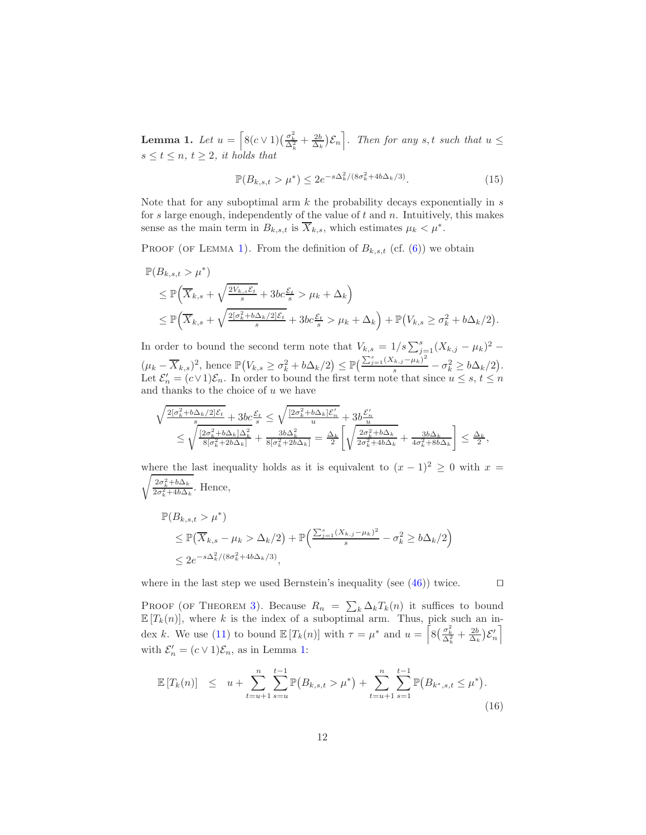**Lemma 1.** Let  $u = \left[ 8(c \vee 1) \left( \frac{\sigma_k^2}{\Delta_k^2} + \frac{2b}{\Delta_k} \right) \mathcal{E}_n \right]$ . Then for any s, t such that  $u \leq$  $s \leq t \leq n, t \geq 2$ , it holds that

$$
\mathbb{P}(B_{k,s,t} > \mu^*) \le 2e^{-s\Delta_k^2/(8\sigma_k^2 + 4b\Delta_k/3)}.
$$
\n(15)

Note that for any suboptimal arm  $k$  the probability decays exponentially in  $s$ for s large enough, independently of the value of  $t$  and  $n$ . Intuitively, this makes sense as the main term in  $B_{k,s,t}$  is  $X_{k,s}$ , which estimates  $\mu_k < \mu^*$ .

PROOF (OF LEMMA [1\)](#page-10-2). From the definition of  $B_{k,s,t}$  (cf. [\(6\)](#page-6-1)) we obtain

$$
\mathbb{P}(B_{k,s,t} > \mu^*)
$$
\n
$$
\leq \mathbb{P}\Big(\overline{X}_{k,s} + \sqrt{\frac{2V_{k,s}\mathcal{E}_t}{s}} + 3bc\frac{\mathcal{E}_t}{s} > \mu_k + \Delta_k\Big)
$$
\n
$$
\leq \mathbb{P}\Big(\overline{X}_{k,s} + \sqrt{\frac{2[\sigma_k^2 + b\Delta_k/2]\mathcal{E}_t}{s}} + 3bc\frac{\mathcal{E}_t}{s} > \mu_k + \Delta_k\Big) + \mathbb{P}\big(V_{k,s} \geq \sigma_k^2 + b\Delta_k/2\big).
$$

In order to bound the second term note that  $V_{k,s} = 1/s \sum_{j=1}^{s} (X_{k,j} - \mu_k)^2$  –  $(\mu_k - \overline{X}_{k,s})^2$ , hence  $\mathbb{P}(V_{k,s} \geq \sigma_k^2 + b\Delta_k/2) \leq \mathbb{P}(\frac{\sum_{j=1}^s (X_{k,j} - \mu_k)^2}{s} - \sigma_k^2 \geq b\Delta_k/2)$ . Let  $\mathcal{E}'_n = (c \vee 1)\mathcal{E}_n$ . In order to bound the first term note that since  $u \leq s, t \leq n$ and thanks to the choice of  $u$  we have

$$
\begin{array}{l} \sqrt{\frac{2[\sigma_k^2+b\Delta_k/2]\mathcal{E}_t}{s}}+3bc\frac{\mathcal{E}_t}{s}\leq\sqrt{\frac{[2\sigma_k^2+b\Delta_k]\mathcal{E}_n^{'}}{u}}+3b\frac{\mathcal{E}_n^{'}}{u}\\ \leq\sqrt{\frac{[2\sigma_k^2+b\Delta_k]\Delta_k^2}{8[\sigma_k^2+2b\Delta_k]}}+\frac{3b\Delta_k^2}{8[\sigma_k^2+2b\Delta_k]}=\frac{\Delta_k}{2}\left[\sqrt{\frac{2\sigma_k^2+b\Delta_k}{2\sigma_k^2+4b\Delta_k}}+\frac{3b\Delta_k}{4\sigma_k^2+8b\Delta_k}\right]\leq\frac{\Delta_k}{2}, \end{array}
$$

where the last inequality holds as it is equivalent to  $(x - 1)^2 \ge 0$  with  $x =$  $\sqrt{\frac{2\sigma_k^2 + b\Delta_k}{2\sigma_k^2 + 4b\Delta_k}}$ . Hence,

$$
\mathbb{P}(B_{k,s,t} > \mu^*)
$$
  
\n
$$
\leq \mathbb{P}(\overline{X}_{k,s} - \mu_k > \Delta_k/2) + \mathbb{P}\left(\frac{\sum_{j=1}^s (X_{k,j} - \mu_k)^2}{s} - \sigma_k^2 \geq b\Delta_k/2\right)
$$
  
\n
$$
\leq 2e^{-s\Delta_k^2/(8\sigma_k^2 + 4b\Delta_k/3)},
$$

where in the last step we used Bernstein's inequality (see  $(46)$ ) twice. □

PROOF (OF THEOREM [3\)](#page-10-0). Because  $R_n = \sum_k \Delta_k T_k(n)$  it suffices to bound  $\mathbb{E}[T_k(n)]$ , where k is the index of a suboptimal arm. Thus, pick such an in-dex k. We use [\(11\)](#page-9-2) to bound  $\mathbb{E}[T_k(n)]$  with  $\tau = \mu^*$  and  $u = \left[8\left(\frac{\sigma_k^2}{\Delta_k^2} + \frac{2b}{\Delta_k}\right)\mathcal{E}'_n\right]$ with  $\mathcal{E}'_n = (c \vee 1)\mathcal{E}_n$ , as in Lemma [1:](#page-10-2)

<span id="page-11-0"></span>
$$
\mathbb{E}\left[T_k(n)\right] \leq u + \sum_{t=u+1}^n \sum_{s=u}^{t-1} \mathbb{P}\left(B_{k,s,t} > \mu^*\right) + \sum_{t=u+1}^n \sum_{s=1}^{t-1} \mathbb{P}\left(B_{k^*,s,t} \leq \mu^*\right). \tag{16}
$$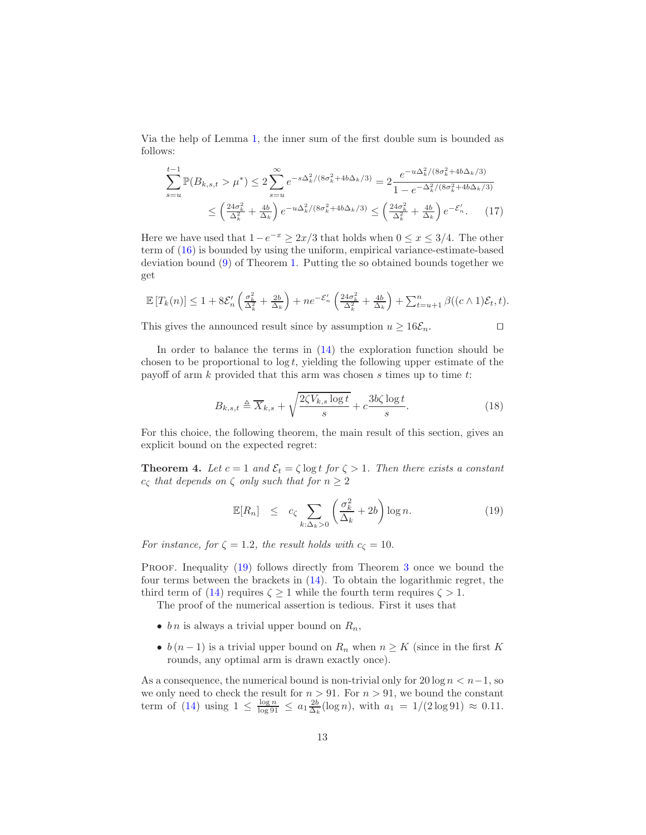Via the help of Lemma [1,](#page-10-2) the inner sum of the first double sum is bounded as follows:

$$
\sum_{s=u}^{t-1} \mathbb{P}(B_{k,s,t} > \mu^*) \le 2 \sum_{s=u}^{\infty} e^{-s\Delta_k^2/(8\sigma_k^2 + 4b\Delta_k/3)} = 2 \frac{e^{-u\Delta_k^2/(8\sigma_k^2 + 4b\Delta_k/3)}}{1 - e^{-\Delta_k^2/(8\sigma_k^2 + 4b\Delta_k/3)}}
$$

$$
\le \left(\frac{24\sigma_k^2}{\Delta_k^2} + \frac{4b}{\Delta_k}\right) e^{-u\Delta_k^2/(8\sigma_k^2 + 4b\Delta_k/3)} \le \left(\frac{24\sigma_k^2}{\Delta_k^2} + \frac{4b}{\Delta_k}\right) e^{-\mathcal{E}'_n}.\tag{17}
$$

Here we have used that  $1-e^{-x} \geq 2x/3$  that holds when  $0 \leq x \leq 3/4$ . The other term of [\(16\)](#page-11-0) is bounded by using the uniform, empirical variance-estimate-based deviation bound [\(9\)](#page-8-0) of Theorem [1.](#page-7-0) Putting the so obtained bounds together we get

$$
\mathbb{E}\left[T_k(n)\right] \leq 1 + 8\mathcal{E}'_n\left(\frac{\sigma_k^2}{\Delta_k^2} + \frac{2b}{\Delta_k}\right) + n e^{-\mathcal{E}'_n}\left(\frac{24\sigma_k^2}{\Delta_k^2} + \frac{4b}{\Delta_k}\right) + \sum_{t=u+1}^n \beta((c \wedge 1)\mathcal{E}_t, t).
$$

This gives the announced result since by assumption  $u \geq 16\mathcal{E}_n$ . □

In order to balance the terms in [\(14\)](#page-10-3) the exploration function should be chosen to be proportional to  $\log t$ , yielding the following upper estimate of the payoff of arm  $k$  provided that this arm was chosen  $s$  times up to time  $t$ :

<span id="page-12-2"></span>
$$
B_{k,s,t} \triangleq \overline{X}_{k,s} + \sqrt{\frac{2\zeta V_{k,s} \log t}{s}} + c \frac{3b\zeta \log t}{s}.
$$
 (18)

<span id="page-12-0"></span>For this choice, the following theorem, the main result of this section, gives an explicit bound on the expected regret:

**Theorem 4.** Let  $c = 1$  and  $\mathcal{E}_t = \zeta \log t$  for  $\zeta > 1$ . Then there exists a constant  $c_{\zeta}$  *that depends on*  $\zeta$  *only such that for*  $n \geq 2$ 

<span id="page-12-1"></span>
$$
\mathbb{E}[R_n] \le c_{\zeta} \sum_{k:\Delta_k > 0} \left( \frac{\sigma_k^2}{\Delta_k} + 2b \right) \log n. \tag{19}
$$

*For instance, for*  $\zeta = 1.2$ *, the result holds with*  $c_{\zeta} = 10$ *.* 

PROOF. Inequality [\(19\)](#page-12-1) follows directly from Theorem [3](#page-10-0) once we bound the four terms between the brackets in [\(14\)](#page-10-3). To obtain the logarithmic regret, the third term of [\(14\)](#page-10-3) requires  $\zeta > 1$  while the fourth term requires  $\zeta > 1$ .

The proof of the numerical assertion is tedious. First it uses that

- bn is always a trivial upper bound on  $R_n$ ,
- $b(n-1)$  is a trivial upper bound on  $R_n$  when  $n \geq K$  (since in the first K rounds, any optimal arm is drawn exactly once).

As a consequence, the numerical bound is non-trivial only for  $20 \log n < n-1$ , so we only need to check the result for  $n > 91$ . For  $n > 91$ , we bound the constant term of [\(14\)](#page-10-3) using  $1 \le \frac{\log n}{\log 91} \le a_1 \frac{2b}{\Delta_k} (\log n)$ , with  $a_1 = 1/(2 \log 91) \approx 0.11$ .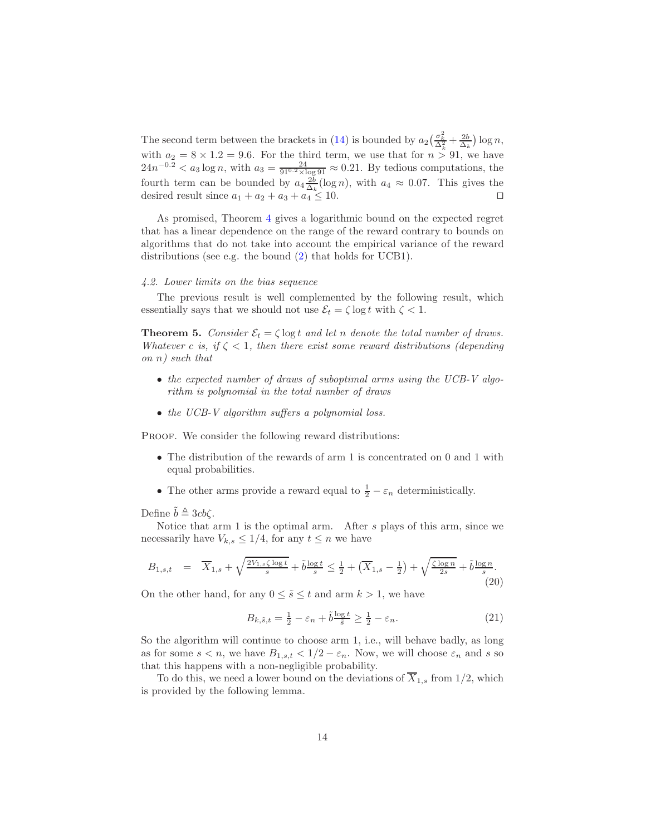The second term between the brackets in [\(14\)](#page-10-3) is bounded by  $a_2\left(\frac{\sigma_k^2}{\Delta_k^2} + \frac{2b}{\Delta_k}\right) \log n$ , with  $a_2 = 8 \times 1.2 = 9.6$ . For the third term, we use that for  $n > 91$ , we have  $24n^{-0.2} < a_3 \log n$ , with  $a_3 = \frac{24}{910.2 \times \log 91} \approx 0.21$ . By tedious computations, the fourth term can be bounded by  $a_4 \frac{2b}{\Delta_k} (\log n)$ , with  $a_4 \approx 0.07$ . This gives the desired result since  $a_1 + a_2 + a_3 + a_4 \leq 10$ . □

As promised, Theorem [4](#page-12-0) gives a logarithmic bound on the expected regret that has a linear dependence on the range of the reward contrary to bounds on algorithms that do not take into account the empirical variance of the reward distributions (see e.g. the bound [\(2\)](#page-2-0) that holds for UCB1).

#### *4.2. Lower limits on the bias sequence*

<span id="page-13-0"></span>The previous result is well complemented by the following result, which essentially says that we should not use  $\mathcal{E}_t = \zeta \log t$  with  $\zeta < 1$ .

**Theorem 5.** *Consider*  $\mathcal{E}_t = \zeta \log t$  *and let n denote the total number of draws. Whatever* c *is, if*  $\zeta$  < 1*, then there exist some reward distributions (depending on* n*) such that*

- *the expected number of draws of suboptimal arms using the UCB-V algorithm is polynomial in the total number of draws*
- *the UCB-V algorithm suffers a polynomial loss.*

PROOF. We consider the following reward distributions:

- The distribution of the rewards of arm 1 is concentrated on 0 and 1 with equal probabilities.
- The other arms provide a reward equal to  $\frac{1}{2} \varepsilon_n$  deterministically.

Define  $b \triangleq 3cb\zeta$ .

Notice that arm 1 is the optimal arm. After s plays of this arm, since we necessarily have  $V_{k,s} \leq 1/4$ , for any  $t \leq n$  we have

<span id="page-13-2"></span>
$$
B_{1,s,t} = \overline{X}_{1,s} + \sqrt{\frac{2V_{1,s}\zeta \log t}{s}} + \tilde{b}\frac{\log t}{s} \le \frac{1}{2} + \left(\overline{X}_{1,s} - \frac{1}{2}\right) + \sqrt{\frac{\zeta \log n}{2s}} + \tilde{b}\frac{\log n}{s}.\tag{20}
$$

On the other hand, for any  $0 \leq \tilde{s} \leq t$  and arm  $k > 1$ , we have

<span id="page-13-3"></span>
$$
B_{k,\tilde{s},t} = \frac{1}{2} - \varepsilon_n + \tilde{b} \frac{\log t}{\tilde{s}} \ge \frac{1}{2} - \varepsilon_n. \tag{21}
$$

So the algorithm will continue to choose arm 1, i.e., will behave badly, as long as for some  $s < n$ , we have  $B_{1,s,t} < 1/2 - \varepsilon_n$ . Now, we will choose  $\varepsilon_n$  and s so that this happens with a non-negligible probability.

<span id="page-13-1"></span>To do this, we need a lower bound on the deviations of  $\overline{X}_{1,s}$  from 1/2, which is provided by the following lemma.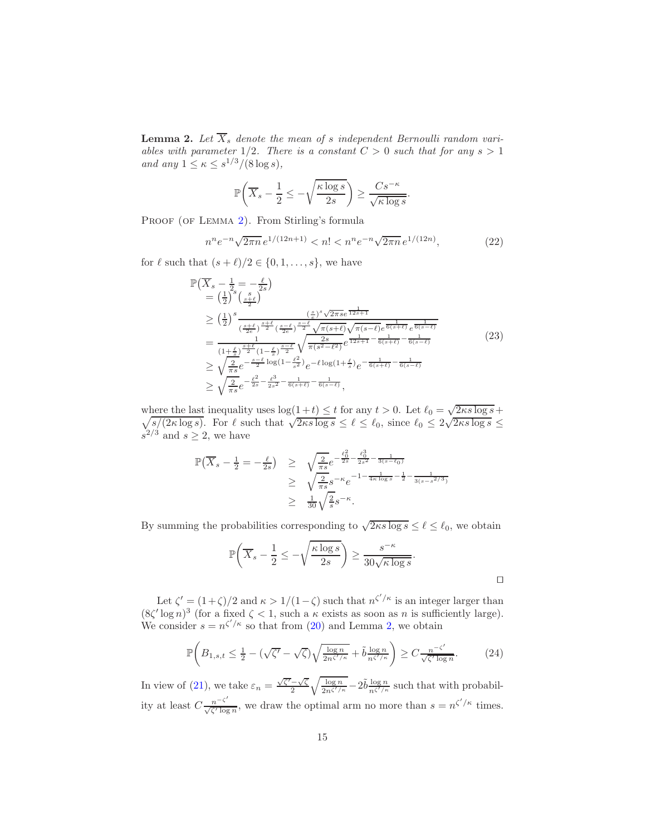**Lemma 2.** Let  $X_s$  denote the mean of s independent Bernoulli random vari*ables with parameter*  $1/2$ *. There is a constant*  $C > 0$  *such that for any*  $s > 1$ *and any*  $1 \le \kappa \le s^{1/3}/(8 \log s)$ ,

$$
\mathbb{P}\left(\overline{X}_s - \frac{1}{2} \le -\sqrt{\frac{\kappa \log s}{2s}}\right) \ge \frac{Cs^{-\kappa}}{\sqrt{\kappa \log s}}.
$$

PROOF (OF LEMMA [2\)](#page-13-1). From Stirling's formula

$$
n^n e^{-n} \sqrt{2\pi n} e^{1/(12n+1)} < n! < n^n e^{-n} \sqrt{2\pi n} e^{1/(12n)},\tag{22}
$$

for  $\ell$  such that  $(s + \ell)/2 \in \{0, 1, \ldots, s\}$ , we have

$$
\mathbb{P}(\overline{X}_{s} - \frac{1}{2} = -\frac{\ell}{2s})
$$
\n
$$
= (\frac{1}{2})^{s} \left(\frac{s}{\frac{s+\ell}{2}}\right)
$$
\n
$$
\geq (\frac{1}{2})^{s} \frac{(\frac{s}{e})^{s}}{(\frac{s+\ell}{2e})^{\frac{s+\ell}{2}} (\frac{s-\ell}{2e})^{\frac{s-\ell}{2}} \sqrt{\pi (s+\ell)}} \sqrt{\pi (s-\ell)} e^{\frac{1}{6(s+\ell)}} e^{\frac{1}{6(s-\ell)}}
$$
\n
$$
= \frac{1}{(1+\frac{\ell}{s})^{\frac{s+\ell}{2}} (1-\frac{\ell}{s})^{\frac{s-\ell}{2}} \sqrt{\pi (s^2-\ell^2)}} e^{\frac{1}{12s+1} - \frac{1}{6(s+\ell)} - \frac{1}{6(s-\ell)}}}
$$
\n
$$
\geq \sqrt{\frac{2}{\pi s}} e^{-\frac{s-\ell}{2} \log(1-\frac{\ell^2}{s^2})} e^{-\ell \log(1+\frac{\ell}{s})} e^{-\frac{1}{6(s+\ell)} - \frac{1}{6(s-\ell)}}
$$
\n
$$
\geq \sqrt{\frac{2}{\pi s}} e^{-\frac{\ell^2}{2s} - \frac{\ell^3}{2s^2} - \frac{1}{6(s+\ell)} - \frac{1}{6(s-\ell)}},
$$
\n(23)

where the last inequality uses  $\log(1+t) \leq t$  for any  $t > 0$ . Let  $\ell_0 = \sqrt{\ell}$  $\sqrt{}$ here the last inequality uses  $\log(1+t) \le t$  for any  $t > 0$ . Let  $\ell_0 = \sqrt{2\kappa s} \log s + \frac{s}{2\kappa \log s}$ . For  $\ell$  such that  $\sqrt{2\kappa s} \log s \le \ell \le \ell_0$ , since  $\ell_0 \le 2\sqrt{2\kappa s} \log s \le \frac{\ell}{2\kappa}$  $s^{2/3}$  and  $s \geq 2$ , we have

$$
\mathbb{P}(\overline{X}_s - \frac{1}{2} = -\frac{\ell}{2s}) \ge \sqrt{\frac{2}{\pi s}} e^{-\frac{\ell_0^2}{2s} - \frac{\ell_0^3}{2s^2} - \frac{1}{3(s-\ell_0)}} \ge \sqrt{\frac{2}{\pi s}} s^{-\kappa} e^{-1 - \frac{1}{4\kappa \log s} - \frac{1}{2} - \frac{1}{3(s-s^2/3)}} \ge \frac{1}{30} \sqrt{\frac{2}{s}} s^{-\kappa}.
$$

By summing the probabilities corresponding to  $\sqrt{2\kappa s \log s} \leq \ell \leq \ell_0$ , we obtain

$$
\mathbb{P}\left(\overline{X}_s - \frac{1}{2} \le -\sqrt{\frac{\kappa \log s}{2s}}\right) \ge \frac{s^{-\kappa}}{30\sqrt{\kappa \log s}}.
$$

Let  $\zeta' = (1+\zeta)/2$  and  $\kappa > 1/(1-\zeta)$  such that  $n^{\zeta'/\kappa}$  is an integer larger than  $(8\zeta' \log n)^3$  (for a fixed  $\zeta < 1$ , such a  $\kappa$  exists as soon as n is sufficiently large). We consider  $s = n^{\zeta'/\kappa}$  so that from [\(20\)](#page-13-2) and Lemma [2,](#page-13-1) we obtain

$$
\mathbb{P}\bigg(B_{1,s,t} \le \frac{1}{2} - \left(\sqrt{\zeta'} - \sqrt{\zeta}\right) \sqrt{\frac{\log n}{2n^{\zeta'/\kappa}}} + \tilde{b}\frac{\log n}{n^{\zeta'/\kappa}}\bigg) \ge C \frac{n^{-\zeta'}}{\sqrt{\zeta'\log n}}.\tag{24}
$$

In view of [\(21\)](#page-13-3), we take  $\varepsilon_n = \frac{\sqrt{\zeta'}-\sqrt{\zeta}}{2} \sqrt{\frac{\log n}{2n^{\zeta'/\kappa}}} - 2\tilde{b} \frac{\log n}{n^{\zeta'/\kappa}}$  such that with probability at least  $C \frac{n^{-\zeta'}}{\sqrt{\zeta' \log n}}$  $\frac{n^{-\zeta'}}{\sqrt{\zeta' \log n}}$ , we draw the optimal arm no more than  $s = n^{\zeta'/\kappa}$  times.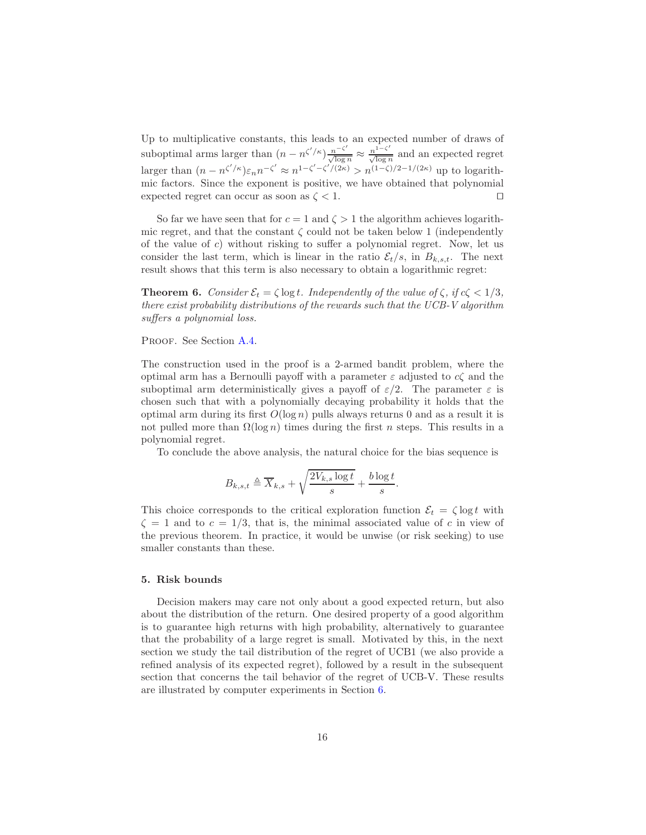Up to multiplicative constants, this leads to an expected number of draws of suboptimal arms larger than  $(n - n^{\zeta'/\kappa}) \frac{n^{-\zeta'}}{\sqrt{\log n}}$  $\frac{n^{-\zeta'}}{\sqrt{\log n}} \approx \frac{n^{1-\zeta'}}{\sqrt{\log n}}$  $\frac{n}{\sqrt{\log n}}$  and an expected regret larger than  $(n - n^{\zeta'/\kappa})\varepsilon_n n^{-\zeta'} \approx n^{1-\zeta'-\zeta'/(2\kappa)} > n^{(1-\zeta)/2-1/(2\kappa)}$  up to logarithmic factors. Since the exponent is positive, we have obtained that polynomial expected regret can occur as soon as  $\zeta$  < 1. □

So far we have seen that for  $c = 1$  and  $\zeta > 1$  the algorithm achieves logarithmic regret, and that the constant  $\zeta$  could not be taken below 1 (independently of the value of  $c$ ) without risking to suffer a polynomial regret. Now, let us consider the last term, which is linear in the ratio  $\mathcal{E}_t/s$ , in  $B_{k,s,t}$ . The next result shows that this term is also necessary to obtain a logarithmic regret:

<span id="page-15-0"></span>**Theorem 6.** *Consider*  $\mathcal{E}_t = \zeta \log t$ *. Independently of the value of*  $\zeta$ *, if*  $c\zeta < 1/3$ *, there exist probability distributions of the rewards such that the UCB-V algorithm suffers a polynomial loss.*

PROOF. See Section [A.4.](#page-37-0)

The construction used in the proof is a 2-armed bandit problem, where the optimal arm has a Bernoulli payoff with a parameter  $\varepsilon$  adjusted to  $c\zeta$  and the suboptimal arm deterministically gives a payoff of  $\varepsilon/2$ . The parameter  $\varepsilon$  is chosen such that with a polynomially decaying probability it holds that the optimal arm during its first  $O(\log n)$  pulls always returns 0 and as a result it is not pulled more than  $\Omega(\log n)$  times during the first n steps. This results in a polynomial regret.

To conclude the above analysis, the natural choice for the bias sequence is

$$
B_{k,s,t} \triangleq \overline{X}_{k,s} + \sqrt{\frac{2V_{k,s}\log t}{s}} + \frac{b\log t}{s}.
$$

This choice corresponds to the critical exploration function  $\mathcal{E}_t = \zeta \log t$  with  $\zeta = 1$  and to  $c = 1/3$ , that is, the minimal associated value of c in view of the previous theorem. In practice, it would be unwise (or risk seeking) to use smaller constants than these.

# 5. Risk bounds

Decision makers may care not only about a good expected return, but also about the distribution of the return. One desired property of a good algorithm is to guarantee high returns with high probability, alternatively to guarantee that the probability of a large regret is small. Motivated by this, in the next section we study the tail distribution of the regret of UCB1 (we also provide a refined analysis of its expected regret), followed by a result in the subsequent section that concerns the tail behavior of the regret of UCB-V. These results are illustrated by computer experiments in Section [6.](#page-23-0)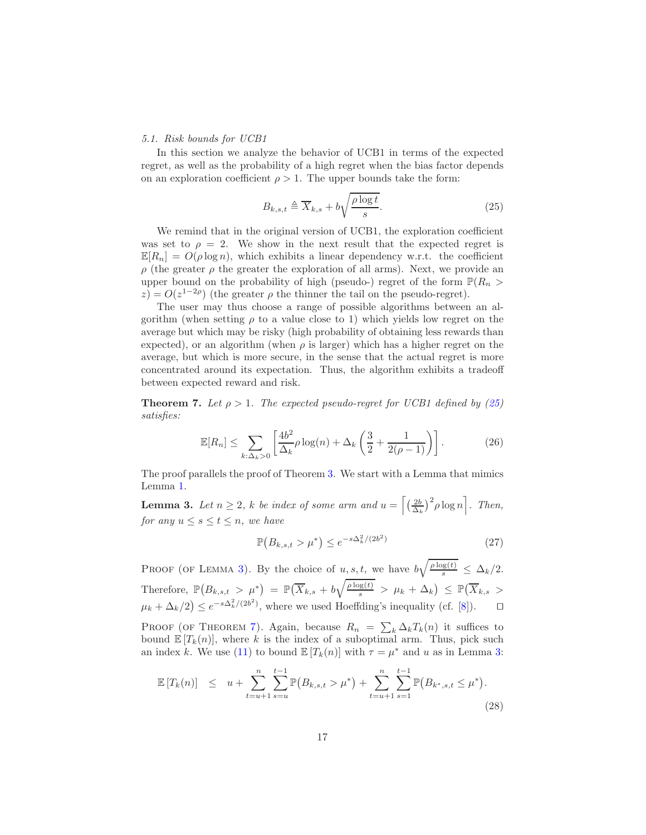## *5.1. Risk bounds for UCB1*

In this section we analyze the behavior of UCB1 in terms of the expected regret, as well as the probability of a high regret when the bias factor depends on an exploration coefficient  $\rho > 1$ . The upper bounds take the form:

<span id="page-16-0"></span>
$$
B_{k,s,t} \triangleq \overline{X}_{k,s} + b\sqrt{\frac{\rho \log t}{s}}.\tag{25}
$$

We remind that in the original version of UCB1, the exploration coefficient was set to  $\rho = 2$ . We show in the next result that the expected regret is  $\mathbb{E}[R_n] = O(\rho \log n)$ , which exhibits a linear dependency w.r.t. the coefficient ρ (the greater ρ the greater the exploration of all arms). Next, we provide an upper bound on the probability of high (pseudo-) regret of the form  $\mathbb{P}(R_n >$  $z$ ) =  $O(z^{1-2\rho})$  (the greater  $\rho$  the thinner the tail on the pseudo-regret).

The user may thus choose a range of possible algorithms between an algorithm (when setting  $\rho$  to a value close to 1) which yields low regret on the average but which may be risky (high probability of obtaining less rewards than expected), or an algorithm (when  $\rho$  is larger) which has a higher regret on the average, but which is more secure, in the sense that the actual regret is more concentrated around its expectation. Thus, the algorithm exhibits a tradeoff between expected reward and risk.

<span id="page-16-2"></span>**Theorem 7.** Let  $\rho > 1$ . The expected pseudo-regret for UCB1 defined by [\(25\)](#page-16-0) *satisfies:*

<span id="page-16-1"></span>
$$
\mathbb{E}[R_n] \le \sum_{k:\Delta_k>0} \left[ \frac{4b^2}{\Delta_k} \rho \log(n) + \Delta_k \left( \frac{3}{2} + \frac{1}{2(\rho - 1)} \right) \right]. \tag{26}
$$

The proof parallels the proof of Theorem [3.](#page-10-0) We start with a Lemma that mimics Lemma [1.](#page-10-2)

**Lemma 3.** Let  $n \geq 2$ , k be index of some arm and  $u = \left[ \left( \frac{2b}{\Delta_k} \right)^2 \rho \log n \right]$ . Then, *for any*  $u \leq s \leq t \leq n$ *, we have* 

$$
\mathbb{P}(B_{k,s,t} > \mu^*) \le e^{-s\Delta_k^2/(2b^2)}\tag{27}
$$

PROOF (OF LEMMA [3\)](#page-16-1). By the choice of  $u, s, t$ , we have  $b\sqrt{\frac{\rho \log(t)}{s}} \leq \Delta_k/2$ . Therefore,  $\mathbb{P}(B_{k,s,t} > \mu^*) = \mathbb{P}(\overline{X}_{k,s} + b\sqrt{\frac{\rho \log(t)}{s}} > \mu_k + \Delta_k) \leq \mathbb{P}(\overline{X}_{k,s} >$  $\mu_k + \Delta_k/2$ )  $\leq e^{-s\Delta_k^2/(2b^2)}$ , where we used Hoeffding's inequality (cf. [\[8](#page-41-9)]). □

PROOF (OF THEOREM [7\)](#page-16-2). Again, because  $R_n = \sum_k \Delta_k T_k(n)$  it suffices to bound  $\mathbb{E}[T_k(n)]$ , where k is the index of a suboptimal arm. Thus, pick such an index k. We use [\(11\)](#page-9-2) to bound  $\mathbb{E}[T_k(n)]$  with  $\tau = \mu^*$  and u as in Lemma [3:](#page-16-1)

<span id="page-16-3"></span>
$$
\mathbb{E}\left[T_k(n)\right] \leq u + \sum_{t=u+1}^n \sum_{s=u}^{t-1} \mathbb{P}\left(B_{k,s,t} > \mu^*\right) + \sum_{t=u+1}^n \sum_{s=1}^{t-1} \mathbb{P}\left(B_{k^*,s,t} \leq \mu^*\right). \tag{28}
$$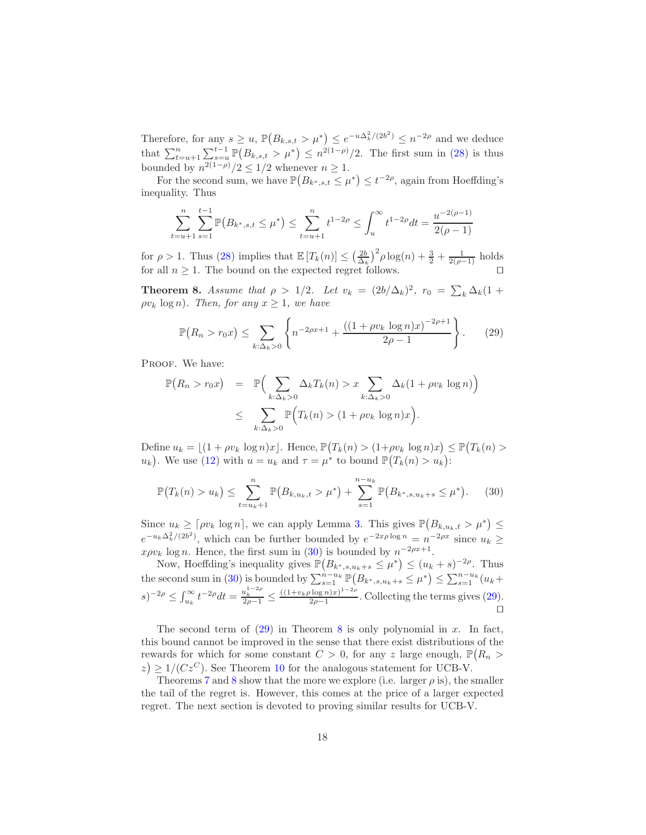Therefore, for any  $s \ge u$ ,  $\mathbb{P}(B_{k,s,t} > \mu^*) \le e^{-u\Delta_k^2/(2b^2)} \le n^{-2\rho}$  and we deduce that  $\sum_{t=u+1}^{n} \sum_{s=u}^{t-1} \mathbb{P}(B_{k,s,t} > \mu^*) \leq n^{2(1-\rho)}/2$ . The first sum in [\(28\)](#page-16-3) is thus bounded by  $n^{2(1-\rho)}/2 \leq 1/2$  whenever  $n \geq 1$ .

For the second sum, we have  $\mathbb{P}(B_{k^*,s,t} \leq \mu^*) \leq t^{-2\rho}$ , again from Hoeffding's inequality. Thus

$$
\sum_{t=u+1}^{n} \sum_{s=1}^{t-1} \mathbb{P}(B_{k^*,s,t} \le \mu^*) \le \sum_{t=u+1}^{n} t^{1-2\rho} \le \int_u^{\infty} t^{1-2\rho} dt = \frac{u^{-2(\rho-1)}}{2(\rho-1)}
$$

for  $\rho > 1$ . Thus [\(28\)](#page-16-3) implies that  $\mathbb{E}[T_k(n)] \leq \left(\frac{2b}{\Delta_k}\right)^2 \rho \log(n) + \frac{3}{2} + \frac{1}{2(\rho-1)}$  holds for all  $n \geq 1$ . The bound on the expected regret follows. □

<span id="page-17-2"></span>**Theorem 8.** *Assume that*  $\rho > 1/2$ *. Let*  $v_k = (2b/\Delta_k)^2$ ,  $r_0 = \sum_k \Delta_k (1 +$  $\rho v_k \log n$ *). Then, for any*  $x \geq 1$ *, we have* 

<span id="page-17-1"></span>
$$
\mathbb{P}(R_n > r_0 x) \le \sum_{k:\Delta_k > 0} \left\{ n^{-2\rho x + 1} + \frac{((1 + \rho v_k \log n)x)^{-2\rho + 1}}{2\rho - 1} \right\}.
$$
 (29)

PROOF. We have:

$$
\mathbb{P}(R_n > r_0 x) = \mathbb{P}\Big(\sum_{k:\Delta_k > 0} \Delta_k T_k(n) > x \sum_{k:\Delta_k > 0} \Delta_k (1 + \rho v_k \log n)\Big)
$$
  

$$
\leq \sum_{k:\Delta_k > 0} \mathbb{P}\Big(T_k(n) > (1 + \rho v_k \log n)x\Big).
$$

Define  $u_k = \lfloor (1 + \rho v_k \log n)x \rfloor$ . Hence,  $\mathbb{P}(T_k(n) > (1 + \rho v_k \log n)x) \leq \mathbb{P}(T_k(n) >$  $u_k$ ). We use [\(12\)](#page-9-3) with  $u = u_k$  and  $\tau = \mu^*$  to bound  $\mathbb{P}(T_k(n) > u_k)$ :

<span id="page-17-0"></span>
$$
\mathbb{P}(T_k(n) > u_k) \le \sum_{t=u_k+1}^n \mathbb{P}(B_{k,u_k,t} > \mu^*) + \sum_{s=1}^{n-u_k} \mathbb{P}(B_{k^*,s,u_k+s} \le \mu^*). \tag{30}
$$

Since  $u_k \geq \lceil \rho v_k \log n \rceil$ , we can apply Lemma [3.](#page-16-1) This gives  $\mathbb{P}(B_{k,u_k,t} > \mu^*) \leq$  $e^{-u_k\Delta_k^2/(2b^2)}$ , which can be further bounded by  $e^{-2x\rho\log n} = n^{-2\rho x}$  since  $u_k \ge$  $x \rho v_k \log n$ . Hence, the first sum in [\(30\)](#page-17-0) is bounded by  $n^{-2\rho x+1}$ .

Now, Hoeffding's inequality gives  $\mathbb{P}(B_{k^*,s,u_k+s} \leq \mu^*) \leq (u_k+s)^{-2\rho}$ . Thus the second sum in [\(30\)](#page-17-0) is bounded by  $\sum_{s=1}^{n-u_k} \mathbb{P}(B_{k^*,s,u_k+s} \leq \mu^*) \leq \sum_{s=1}^{n-u_k} (u_k +$  $(s)^{-2\rho} \leq \int_{u_k}^{\infty} t^{-2\rho} dt = \frac{u_k^{1-2\rho}}{2\rho-1} \leq \frac{((1+v_k\rho \log n)x)^{1-2\rho}}{2\rho-1}$  $\frac{2p-1}{2p-1}$ . Collecting the terms gives [\(29\)](#page-17-1). ⊓⊔

The second term of  $(29)$  in Theorem [8](#page-17-2) is only polynomial in x. In fact, this bound cannot be improved in the sense that there exist distributions of the rewards for which for some constant  $C > 0$ , for any z large enough,  $\mathbb{P}(R_n >$  $z \geq 1/(Cz^C)$ . See Theorem [10](#page-20-0) for the analogous statement for UCB-V.

Theorems [7](#page-16-2) and [8](#page-17-2) show that the more we explore (i.e. larger  $\rho$  is), the smaller the tail of the regret is. However, this comes at the price of a larger expected regret. The next section is devoted to proving similar results for UCB-V.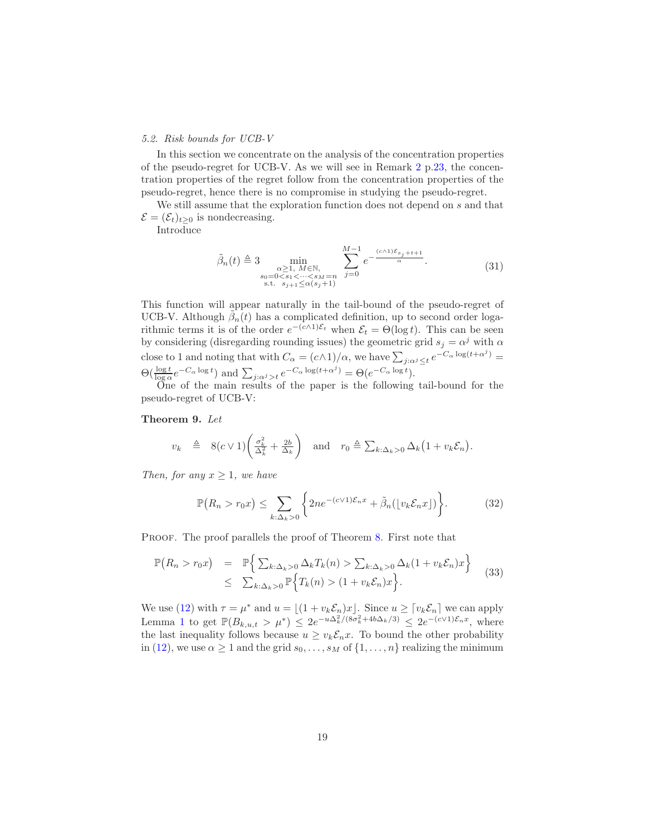#### <span id="page-18-0"></span>*5.2. Risk bounds for UCB-V*

In this section we concentrate on the analysis of the concentration properties of the pseudo-regret for UCB-V. As we will see in Remark [2](#page-22-0) p[.23,](#page-22-0) the concentration properties of the regret follow from the concentration properties of the pseudo-regret, hence there is no compromise in studying the pseudo-regret.

We still assume that the exploration function does not depend on s and that  $\mathcal{E} = (\mathcal{E}_t)_{t>0}$  is nondecreasing.

Introduce

<span id="page-18-2"></span>
$$
\tilde{\beta}_n(t) \triangleq 3 \min_{\substack{\alpha \ge 1, M \in \mathbb{N}, \\ s_0 = 0 < s_1 < \dots < s_M = n \\ \text{s.t. } s_{j+1} \le \alpha(s_j+1)}} \sum_{j=0}^{M-1} e^{-\frac{(c \wedge 1)\mathcal{E}_{s_j+t+1}}{\alpha}}.
$$
\n
$$
(31)
$$

This function will appear naturally in the tail-bound of the pseudo-regret of UCB-V. Although  $\tilde{\beta}_n(t)$  has a complicated definition, up to second order logarithmic terms it is of the order  $e^{-(c\wedge 1)\mathcal{E}_t}$  when  $\mathcal{E}_t = \Theta(\log t)$ . This can be seen by considering (disregarding rounding issues) the geometric grid  $s_j = \alpha^j$  with  $\alpha$ close to 1 and noting that with  $C_{\alpha} = (c \wedge 1)/\alpha$ , we have  $\sum_{j:\alpha^j \leq t} e^{-C_{\alpha} \log(t + \alpha^j)} =$  $\Theta(\frac{\log t}{\log \alpha}e^{-C_{\alpha}\log t})$  and  $\sum_{j:\alpha^j>t}e^{-C_{\alpha}\log(t+\alpha^j)}=\Theta(e^{-C_{\alpha}\log t}).$ 

One of the main results of the paper is the following tail-bound for the pseudo-regret of UCB-V:

# Theorem 9. *Let*

<span id="page-18-1"></span>
$$
v_k \triangleq 8(c \vee 1) \left( \frac{\sigma_k^2}{\Delta_k^2} + \frac{2b}{\Delta_k} \right) \quad \text{and} \quad r_0 \triangleq \sum_{k:\Delta_k > 0} \Delta_k \left( 1 + v_k \mathcal{E}_n \right).
$$

*Then, for any*  $x \geq 1$ *, we have* 

<span id="page-18-3"></span>
$$
\mathbb{P}\big(R_n > r_0 x\big) \le \sum_{k:\Delta_k > 0} \bigg\{ 2n e^{-(c \vee 1)\mathcal{E}_n x} + \tilde{\beta}_n(\lfloor v_k \mathcal{E}_n x \rfloor) \bigg\}.\tag{32}
$$

PROOF. The proof parallels the proof of Theorem [8.](#page-17-2) First note that

<span id="page-18-4"></span>
$$
\mathbb{P}(R_n > r_0 x) = \mathbb{P}\Big\{\sum_{k:\Delta_k>0}\Delta_k T_k(n) > \sum_{k:\Delta_k>0}\Delta_k (1 + v_k \mathcal{E}_n) x\Big\}
$$
  
\n
$$
\leq \sum_{k:\Delta_k>0}\mathbb{P}\Big\{T_k(n) > (1 + v_k \mathcal{E}_n) x\Big\}.
$$
 (33)

We use [\(12\)](#page-9-3) with  $\tau = \mu^*$  and  $u = \lfloor (1 + v_k \mathcal{E}_n)x \rfloor$ . Since  $u \geq \lceil v_k \mathcal{E}_n \rceil$  we can apply Lemma [1](#page-10-2) to get  $\mathbb{P}(B_{k,u,t} > \mu^*) \leq 2e^{-u\Delta_k^2/(8\sigma_k^2 + 4b\Delta_k/3)} \leq 2e^{-(c\vee 1)\mathcal{E}_n x}$ , where the last inequality follows because  $u \geq v_k \mathcal{E}_n x$ . To bound the other probability in [\(12\)](#page-9-3), we use  $\alpha \geq 1$  and the grid  $s_0, \ldots, s_M$  of  $\{1, \ldots, n\}$  realizing the minimum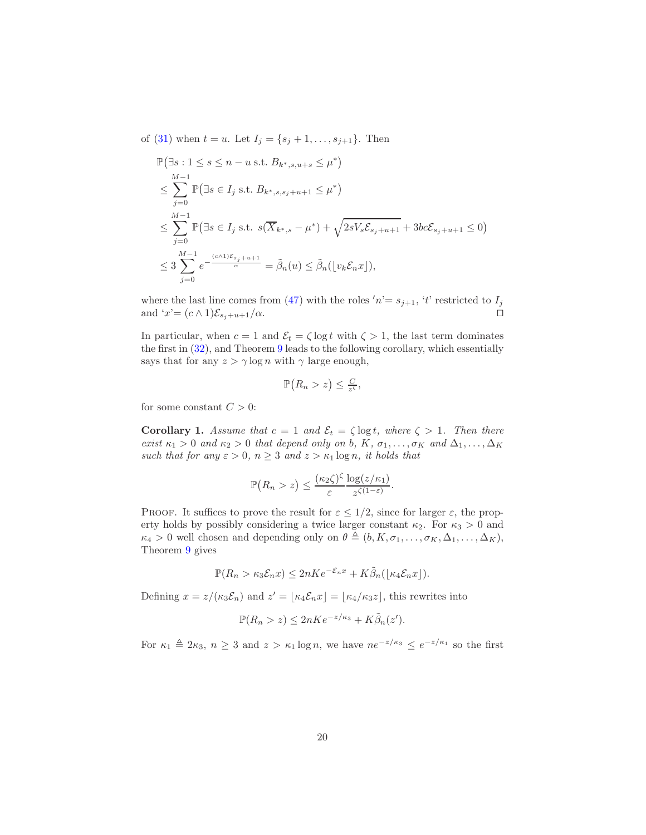of [\(31\)](#page-18-2) when  $t = u$ . Let  $I_j = \{s_j + 1, \ldots, s_{j+1}\}$ . Then

$$
\mathbb{P}(\exists s: 1 \le s \le n - u \text{ s.t. } B_{k^*,s,u+s} \le \mu^*)
$$
\n
$$
\le \sum_{j=0}^{M-1} \mathbb{P}(\exists s \in I_j \text{ s.t. } B_{k^*,s,s,j+u+1} \le \mu^*)
$$
\n
$$
\le \sum_{j=0}^{M-1} \mathbb{P}(\exists s \in I_j \text{ s.t. } s(\overline{X}_{k^*,s} - \mu^*) + \sqrt{2sV_s\mathcal{E}_{s,j+u+1}} + 3bc\mathcal{E}_{s,j+u+1} \le 0)
$$
\n
$$
\le 3 \sum_{j=0}^{M-1} e^{-\frac{(c \wedge 1)\mathcal{E}_{s,j+u+1}}{\alpha}} = \tilde{\beta}_n(u) \le \tilde{\beta}_n(\lfloor v_k \mathcal{E}_n x \rfloor),
$$

where the last line comes from [\(47\)](#page-35-0) with the roles  $n = s_{j+1}$ ,  $t$  restricted to  $I_j$ and ' $x'=(c\wedge 1)\mathcal{E}_{s_j+u+1}/\alpha$ . □

In particular, when  $c = 1$  and  $\mathcal{E}_t = \zeta \log t$  with  $\zeta > 1$ , the last term dominates the first in [\(32\)](#page-18-3), and Theorem [9](#page-18-1) leads to the following corollary, which essentially says that for any  $z > \gamma \log n$  with  $\gamma$  large enough,

$$
\mathbb{P}\big(R_n > z\big) \leq \frac{C}{z^{\zeta}},
$$

<span id="page-19-0"></span>for some constant  $C > 0$ :

**Corollary 1.** Assume that  $c = 1$  and  $\mathcal{E}_t = \zeta \log t$ , where  $\zeta > 1$ . Then there *exist*  $\kappa_1 > 0$  *and*  $\kappa_2 > 0$  *that depend only on b,*  $K$ *,*  $\sigma_1, \ldots, \sigma_K$  *and*  $\Delta_1, \ldots, \Delta_K$ *such that for any*  $\varepsilon > 0$ ,  $n \geq 3$  *and*  $z > \kappa_1 \log n$ , *it holds that* 

$$
\mathbb{P}(R_n > z) \leq \frac{(\kappa_2 \zeta)^{\zeta}}{\varepsilon} \frac{\log(z/\kappa_1)}{z^{\zeta(1-\varepsilon)}}.
$$

PROOF. It suffices to prove the result for  $\varepsilon \leq 1/2$ , since for larger  $\varepsilon$ , the property holds by possibly considering a twice larger constant  $\kappa_2$ . For  $\kappa_3 > 0$  and  $\kappa_4 > 0$  well chosen and depending only on  $\theta \triangleq (b, K, \sigma_1, \ldots, \sigma_K, \Delta_1, \ldots, \Delta_K)$ , Theorem [9](#page-18-1) gives

$$
\mathbb{P}(R_n > \kappa_3 \mathcal{E}_n x) \le 2nKe^{-\mathcal{E}_n x} + K\tilde{\beta}_n(\lfloor \kappa_4 \mathcal{E}_n x \rfloor).
$$

Defining  $x = z/(\kappa_3 \mathcal{E}_n)$  and  $z' = \lfloor \kappa_4 \mathcal{E}_n x \rfloor = \lfloor \kappa_4/\kappa_3 z \rfloor$ , this rewrites into

$$
\mathbb{P}(R_n > z) \le 2nKe^{-z/\kappa_3} + K\tilde{\beta}_n(z').
$$

For  $\kappa_1 \triangleq 2\kappa_3$ ,  $n \geq 3$  and  $z > \kappa_1 \log n$ , we have  $n e^{-z/\kappa_3} \leq e^{-z/\kappa_1}$  so the first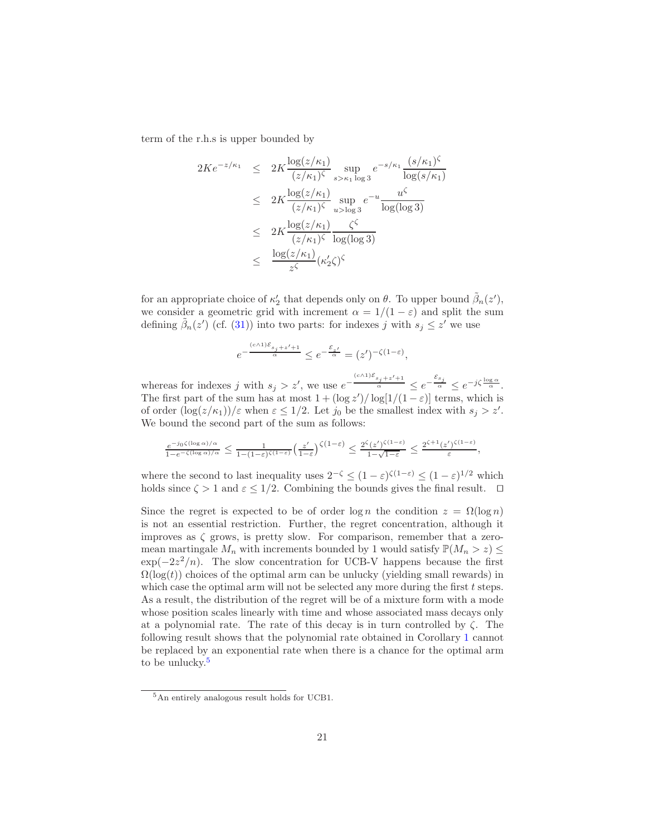term of the r.h.s is upper bounded by

$$
2Ke^{-z/\kappa_1} \leq 2K \frac{\log(z/\kappa_1)}{(z/\kappa_1)\zeta} \sup_{s>\kappa_1 \log 3} e^{-s/\kappa_1} \frac{(s/\kappa_1)\zeta}{\log(s/\kappa_1)}
$$
  

$$
\leq 2K \frac{\log(z/\kappa_1)}{(z/\kappa_1)\zeta} \sup_{u>\log 3} e^{-u} \frac{u^{\zeta}}{\log(\log 3)}
$$
  

$$
\leq 2K \frac{\log(z/\kappa_1)}{(z/\kappa_1)\zeta} \frac{\zeta^{\zeta}}{\log(\log 3)}
$$
  

$$
\leq \frac{\log(z/\kappa_1)}{z^{\zeta}} (\kappa_2'\zeta)^{\zeta}
$$

for an appropriate choice of  $\kappa'_2$  that depends only on  $\theta$ . To upper bound  $\tilde{\beta}_n(z')$ , we consider a geometric grid with increment  $\alpha = 1/(1 - \varepsilon)$  and split the sum defining  $\tilde{\beta}_n(z')$  (cf. [\(31\)](#page-18-2)) into two parts: for indexes j with  $s_j \leq z'$  we use

$$
e^{-\frac{(c \wedge 1) \mathcal{E}_{s_j + z' + 1}}{\alpha}} \le e^{-\frac{\mathcal{E}_{z'}}{\alpha}} = (z')^{-\zeta(1-\varepsilon)},
$$

whereas for indexes j with  $s_j > z'$ , we use  $e^{-\frac{(c \wedge 1)\mathcal{E}_{s_j+z'+1}}{\alpha}}$  $\frac{s_j + z' + 1}{\alpha} \leq e^{-\frac{\mathcal{E}_{s_j}}{\alpha}} \leq e^{-j\zeta \frac{\log \alpha}{\alpha}}.$ The first part of the sum has at most  $1 + (\log z') / \log[1/(1-\varepsilon)]$  terms, which is of order  $(\log(z/\kappa_1))/\varepsilon$  when  $\varepsilon \leq 1/2$ . Let  $j_0$  be the smallest index with  $s_j > z'$ . We bound the second part of the sum as follows:

$$
\tfrac{e^{-j_0\zeta(\log\alpha)/\alpha}}{1-e^{-\zeta(\log\alpha)/\alpha}}\leq\tfrac{1}{1-(1-\varepsilon)^{\zeta(1-\varepsilon)}}\big(\tfrac{z'}{1-\varepsilon}\big)^{\zeta\left(1-\varepsilon\right)}\leq\tfrac{2^\zeta(z')^{\zeta(1-\varepsilon)}}{1-\sqrt{1-\varepsilon}}\leq\tfrac{2^{\zeta+1}(z')^{\zeta(1-\varepsilon)}}{\varepsilon},
$$

where the second to last inequality uses  $2^{-\zeta} \leq (1-\varepsilon)^{\zeta(1-\varepsilon)} \leq (1-\varepsilon)^{1/2}$  which holds since  $\zeta > 1$  and  $\varepsilon \leq 1/2$ . Combining the bounds gives the final result.  $\Box$ 

Since the regret is expected to be of order  $\log n$  the condition  $z = \Omega(\log n)$ is not an essential restriction. Further, the regret concentration, although it improves as  $\zeta$  grows, is pretty slow. For comparison, remember that a zeromean martingale  $M_n$  with increments bounded by 1 would satisfy  $\mathbb{P}(M_n > z) \leq$  $\exp(-2z^2/n)$ . The slow concentration for UCB-V happens because the first  $\Omega(\log(t))$  choices of the optimal arm can be unlucky (yielding small rewards) in which case the optimal arm will not be selected any more during the first t steps. As a result, the distribution of the regret will be of a mixture form with a mode whose position scales linearly with time and whose associated mass decays only at a polynomial rate. The rate of this decay is in turn controlled by  $\zeta$ . The following result shows that the polynomial rate obtained in Corollary [1](#page-19-0) cannot be replaced by an exponential rate when there is a chance for the optimal arm to be unlucky.<sup>[5](#page-20-1)</sup>

<span id="page-20-1"></span><span id="page-20-0"></span><sup>5</sup>An entirely analogous result holds for UCB1.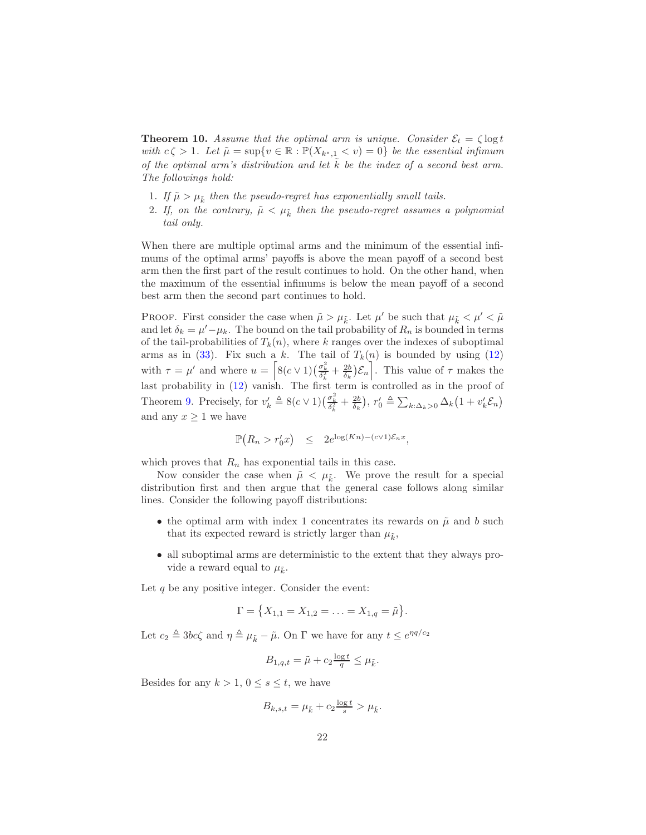**Theorem 10.** Assume that the optimal arm is unique. Consider  $\mathcal{E}_t = \zeta \log t$ *with*  $c \zeta > 1$ *. Let*  $\tilde{\mu} = \sup \{ v \in \mathbb{R} : \mathbb{P}(X_{k^*,1} < v) = 0 \}$  *be the essential infimum of the optimal arm's distribution and let*  $k$  *be the index of a second best arm. The followings hold:*

- 1. If  $\tilde{\mu} > \mu_{\tilde{k}}$  then the pseudo-regret has exponentially small tails.
- 2. If, on the contrary,  $\tilde{\mu} < \mu_{\tilde{k}}$  then the pseudo-regret assumes a polynomial *tail only.*

When there are multiple optimal arms and the minimum of the essential infimums of the optimal arms' payoffs is above the mean payoff of a second best arm then the first part of the result continues to hold. On the other hand, when the maximum of the essential infimums is below the mean payoff of a second best arm then the second part continues to hold.

PROOF. First consider the case when  $\tilde{\mu} > \mu_{\tilde{k}}$ . Let  $\mu'$  be such that  $\mu_{\tilde{k}} < \mu' < \tilde{\mu}$ and let  $\delta_k = \mu' - \mu_k$ . The bound on the tail probability of  $R_n$  is bounded in terms of the tail-probabilities of  $T_k(n)$ , where k ranges over the indexes of suboptimal arms as in [\(33\)](#page-18-4). Fix such a k. The tail of  $T_k(n)$  is bounded by using [\(12\)](#page-9-3) with  $\tau = \mu'$  and where  $u = \left[ 8(c \vee 1) \left( \frac{\sigma_k^2}{\delta_k^2} + \frac{2b}{\delta_k} \right) \mathcal{E}_n \right]$ . This value of  $\tau$  makes the last probability in [\(12\)](#page-9-3) vanish. The first term is controlled as in the proof of Theorem [9.](#page-18-1) Precisely, for  $v'_k \triangleq 8(c \vee 1)(\frac{\sigma_k^2}{\delta_k^2} + \frac{2b}{\delta_k}), r'_0 \triangleq \sum_{k:\Delta_k>0} \Delta_k(1+v'_k\mathcal{E}_n)$ and any  $x \geq 1$  we have

$$
\mathbb{P}(R_n > r'_0 x) \leq 2e^{\log(Kn) - (c \vee 1)\mathcal{E}_n x},
$$

which proves that  $R_n$  has exponential tails in this case.

Now consider the case when  $\tilde{\mu} < \mu_{\tilde{k}}$ . We prove the result for a special distribution first and then argue that the general case follows along similar lines. Consider the following payoff distributions:

- the optimal arm with index 1 concentrates its rewards on  $\tilde{\mu}$  and b such that its expected reward is strictly larger than  $\mu_{\tilde{k}}$ ,
- all suboptimal arms are deterministic to the extent that they always provide a reward equal to  $\mu_{\tilde{k}}$ .

Let  $q$  be any positive integer. Consider the event:

$$
\Gamma = \{X_{1,1} = X_{1,2} = \ldots = X_{1,q} = \tilde{\mu}\}.
$$

Let  $c_2 \triangleq 3bc\zeta$  and  $\eta \triangleq \mu_{\tilde{k}} - \tilde{\mu}$ . On  $\Gamma$  we have for any  $t \leq e^{\eta q/c_2}$ 

$$
B_{1,q,t} = \tilde{\mu} + c_2 \frac{\log t}{q} \le \mu_{\tilde{k}}.
$$

Besides for any  $k > 1, 0 \leq s \leq t$ , we have

$$
B_{k,s,t} = \mu_{\tilde{k}} + c_2 \frac{\log t}{s} > \mu_{\tilde{k}}.
$$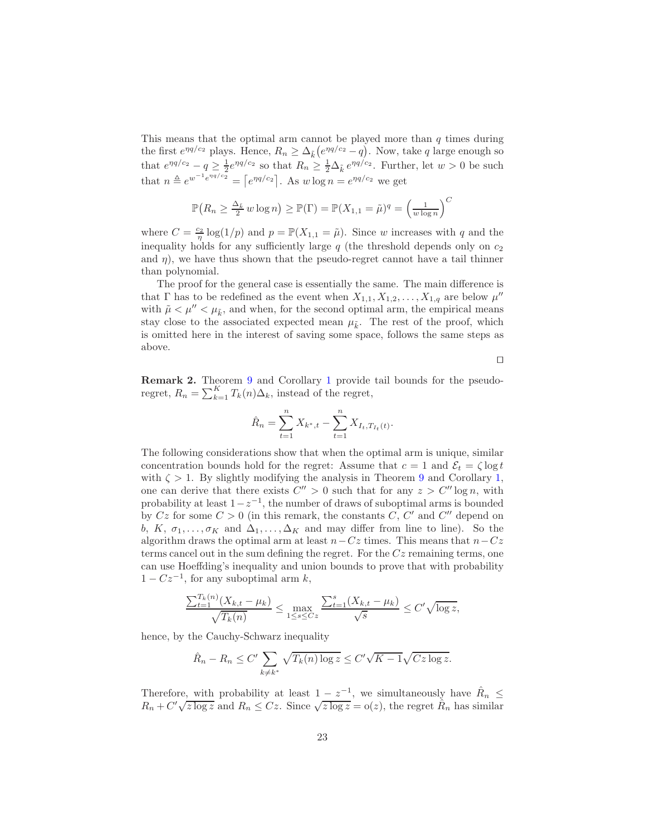This means that the optimal arm cannot be played more than  $q$  times during the first  $e^{\eta q/c_2}$  plays. Hence,  $R_n \geq \Delta_{\tilde{k}}(e^{\eta q/c_2} - q)$ . Now, take q large enough so that  $e^{\eta q/c_2} - q \geq \frac{1}{2} e^{\eta q/c_2}$  so that  $R_n \geq \frac{1}{2} \Delta_{\tilde{k}} e^{\eta q/c_2}$ . Further, let  $w > 0$  be such that  $n \triangleq e^{w^{-1} e^{\eta q/c_2}} = \lceil e^{\eta q/c_2} \rceil$ . As  $w \log n = e^{\eta q/c_2}$  we get

$$
\mathbb{P}\big(R_n \ge \frac{\Delta_{\tilde{k}}}{2} w \log n\big) \ge \mathbb{P}(\Gamma) = \mathbb{P}(X_{1,1} = \tilde{\mu})^q = \left(\frac{1}{w \log n}\right)^C
$$

where  $C = \frac{c_2}{\eta} \log(1/p)$  and  $p = \mathbb{P}(X_{1,1} = \tilde{\mu})$ . Since w increases with q and the inequality holds for any sufficiently large  $q$  (the threshold depends only on  $c_2$ ) and  $\eta$ ), we have thus shown that the pseudo-regret cannot have a tail thinner than polynomial.

The proof for the general case is essentially the same. The main difference is that  $\Gamma$  has to be redefined as the event when  $X_{1,1}, X_{1,2}, \ldots, X_{1,q}$  are below  $\mu''$ with  $\tilde{\mu} < \mu'' < \mu_{\tilde{k}}$ , and when, for the second optimal arm, the empirical means stay close to the associated expected mean  $\mu_{\tilde{k}}$ . The rest of the proof, which is omitted here in the interest of saving some space, follows the same steps as above.

⊓⊔

<span id="page-22-0"></span>Remark 2. Theorem [9](#page-18-1) and Corollary [1](#page-19-0) provide tail bounds for the pseudoregret,  $R_n = \sum_{k=1}^{K} T_k(n) \Delta_k$ , instead of the regret,

$$
\hat{R}_n = \sum_{t=1}^n X_{k^*,t} - \sum_{t=1}^n X_{I_t,T_{I_t}(t)}.
$$

The following considerations show that when the optimal arm is unique, similar concentration bounds hold for the regret: Assume that  $c = 1$  and  $\mathcal{E}_t = \zeta \log t$ with  $\zeta > 1$ . By slightly modifying the analysis in Theorem [9](#page-18-1) and Corollary [1,](#page-19-0) one can derive that there exists  $C'' > 0$  such that for any  $z > C'' \log n$ , with probability at least  $1-z^{-1}$ , the number of draws of suboptimal arms is bounded by  $Cz$  for some  $C > 0$  (in this remark, the constants C, C' and C'' depend on b, K,  $\sigma_1, \ldots, \sigma_K$  and  $\Delta_1, \ldots, \Delta_K$  and may differ from line to line). So the algorithm draws the optimal arm at least  $n-Cz$  times. This means that  $n-Cz$ terms cancel out in the sum defining the regret. For the  $Cz$  remaining terms, one can use Hoeffding's inequality and union bounds to prove that with probability  $1 - Cz^{-1}$ , for any suboptimal arm  $k$ ,

$$
\frac{\sum_{t=1}^{T_k(n)} (X_{k,t} - \mu_k)}{\sqrt{T_k(n)}} \le \max_{1 \le s \le Cz} \frac{\sum_{t=1}^s (X_{k,t} - \mu_k)}{\sqrt{s}} \le C' \sqrt{\log z},
$$

hence, by the Cauchy-Schwarz inequality

$$
\hat{R}_n - R_n \le C' \sum_{k \neq k^*} \sqrt{T_k(n) \log z} \le C' \sqrt{K - 1} \sqrt{Cz \log z}.
$$

Therefore, with probability at least  $1 - z^{-1}$ , we simultaneously have  $\hat{R}_n \leq$  $R_n + C' \sqrt{z \log z}$  and  $R_n \leq Cz$ . Since  $\sqrt{z \log z} = o(z)$ , the regret  $\hat{R}_n$  has similar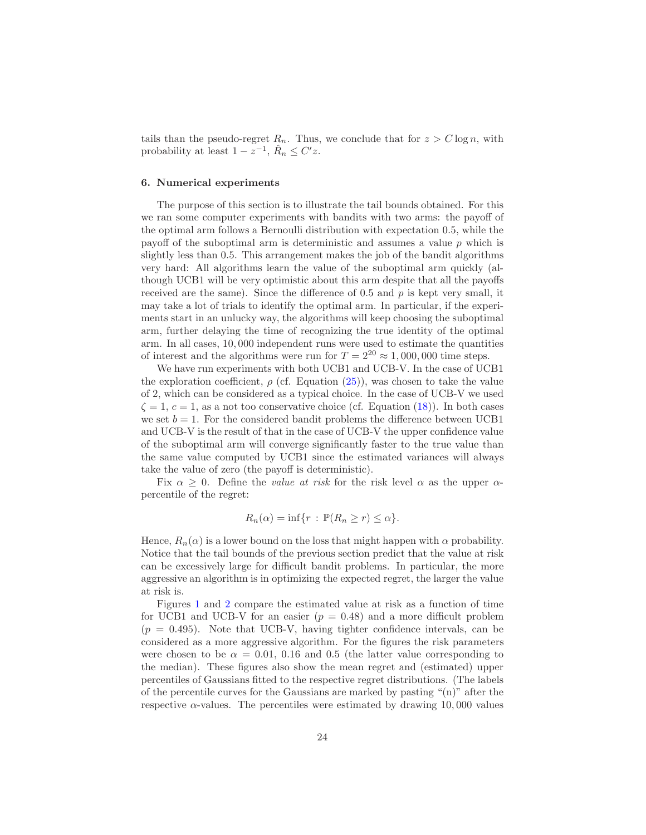tails than the pseudo-regret  $R_n$ . Thus, we conclude that for  $z > C \log n$ , with probability at least  $1 - z^{-1}$ ,  $\hat{R}_n \leq C'z$ .

#### <span id="page-23-0"></span>6. Numerical experiments

The purpose of this section is to illustrate the tail bounds obtained. For this we ran some computer experiments with bandits with two arms: the payoff of the optimal arm follows a Bernoulli distribution with expectation 0.5, while the payoff of the suboptimal arm is deterministic and assumes a value  $p$  which is slightly less than 0.5. This arrangement makes the job of the bandit algorithms very hard: All algorithms learn the value of the suboptimal arm quickly (although UCB1 will be very optimistic about this arm despite that all the payoffs received are the same). Since the difference of  $0.5$  and  $p$  is kept very small, it may take a lot of trials to identify the optimal arm. In particular, if the experiments start in an unlucky way, the algorithms will keep choosing the suboptimal arm, further delaying the time of recognizing the true identity of the optimal arm. In all cases, 10, 000 independent runs were used to estimate the quantities of interest and the algorithms were run for  $T = 2^{20} \approx 1,000,000$  time steps.

We have run experiments with both UCB1 and UCB-V. In the case of UCB1 the exploration coefficient,  $\rho$  (cf. Equation [\(25\)](#page-16-0)), was chosen to take the value of 2, which can be considered as a typical choice. In the case of UCB-V we used  $\zeta = 1, c = 1$ , as a not too conservative choice (cf. Equation [\(18\)](#page-12-2)). In both cases we set  $b = 1$ . For the considered bandit problems the difference between UCB1 and UCB-V is the result of that in the case of UCB-V the upper confidence value of the suboptimal arm will converge significantly faster to the true value than the same value computed by UCB1 since the estimated variances will always take the value of zero (the payoff is deterministic).

Fix  $\alpha \geq 0$ . Define the *value at risk* for the risk level  $\alpha$  as the upper  $\alpha$ percentile of the regret:

$$
R_n(\alpha) = \inf\{r : \mathbb{P}(R_n \ge r) \le \alpha\}.
$$

Hence,  $R_n(\alpha)$  is a lower bound on the loss that might happen with  $\alpha$  probability. Notice that the tail bounds of the previous section predict that the value at risk can be excessively large for difficult bandit problems. In particular, the more aggressive an algorithm is in optimizing the expected regret, the larger the value at risk is.

Figures [1](#page-24-0) and [2](#page-25-0) compare the estimated value at risk as a function of time for UCB1 and UCB-V for an easier  $(p = 0.48)$  and a more difficult problem  $(p = 0.495)$ . Note that UCB-V, having tighter confidence intervals, can be considered as a more aggressive algorithm. For the figures the risk parameters were chosen to be  $\alpha = 0.01, 0.16$  and 0.5 (the latter value corresponding to the median). These figures also show the mean regret and (estimated) upper percentiles of Gaussians fitted to the respective regret distributions. (The labels of the percentile curves for the Gaussians are marked by pasting "(n)" after the respective  $\alpha$ -values. The percentiles were estimated by drawing 10,000 values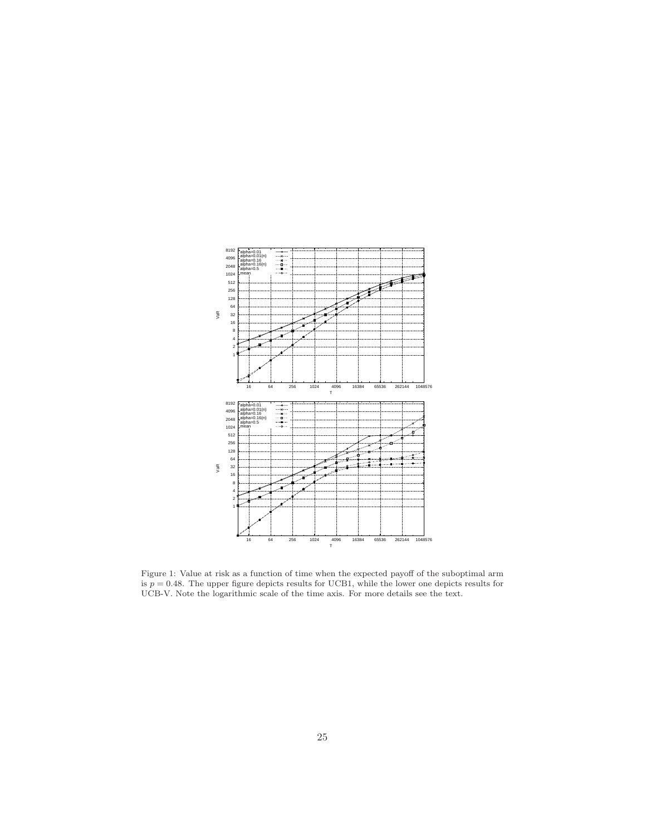

<span id="page-24-0"></span>Figure 1: Value at risk as a function of time when the expected payoff of the suboptimal arm is  $p = 0.48$ . The upper figure depicts results for UCB1, while the lower one depicts results for UCB-V. Note the logarithmic scale of the time axis. For more details see the text.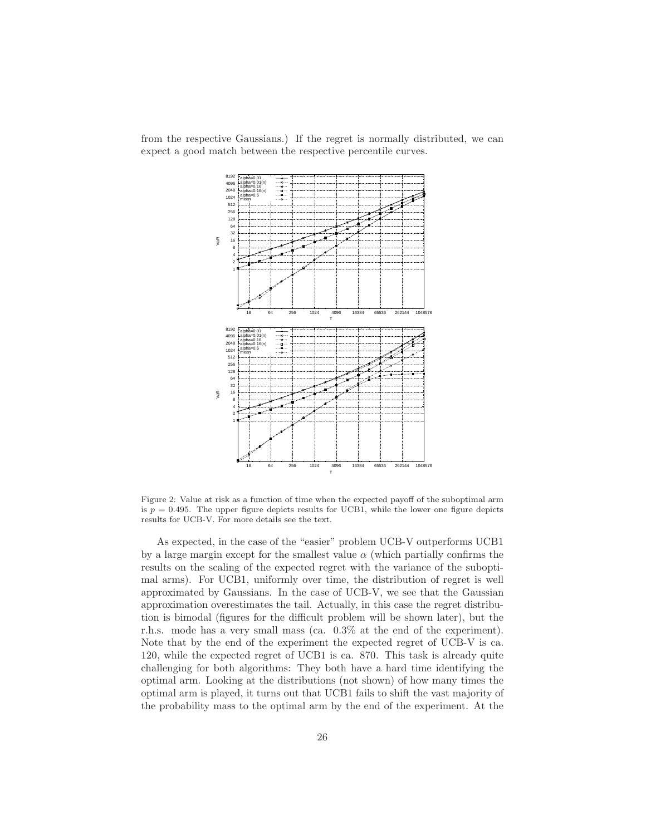from the respective Gaussians.) If the regret is normally distributed, we can expect a good match between the respective percentile curves.



<span id="page-25-0"></span>Figure 2: Value at risk as a function of time when the expected payoff of the suboptimal arm is  $p = 0.495$ . The upper figure depicts results for UCB1, while the lower one figure depicts results for UCB-V. For more details see the text.

As expected, in the case of the "easier" problem UCB-V outperforms UCB1 by a large margin except for the smallest value  $\alpha$  (which partially confirms the results on the scaling of the expected regret with the variance of the suboptimal arms). For UCB1, uniformly over time, the distribution of regret is well approximated by Gaussians. In the case of UCB-V, we see that the Gaussian approximation overestimates the tail. Actually, in this case the regret distribution is bimodal (figures for the difficult problem will be shown later), but the r.h.s. mode has a very small mass (ca. 0.3% at the end of the experiment). Note that by the end of the experiment the expected regret of UCB-V is ca. 120, while the expected regret of UCB1 is ca. 870. This task is already quite challenging for both algorithms: They both have a hard time identifying the optimal arm. Looking at the distributions (not shown) of how many times the optimal arm is played, it turns out that UCB1 fails to shift the vast majority of the probability mass to the optimal arm by the end of the experiment. At the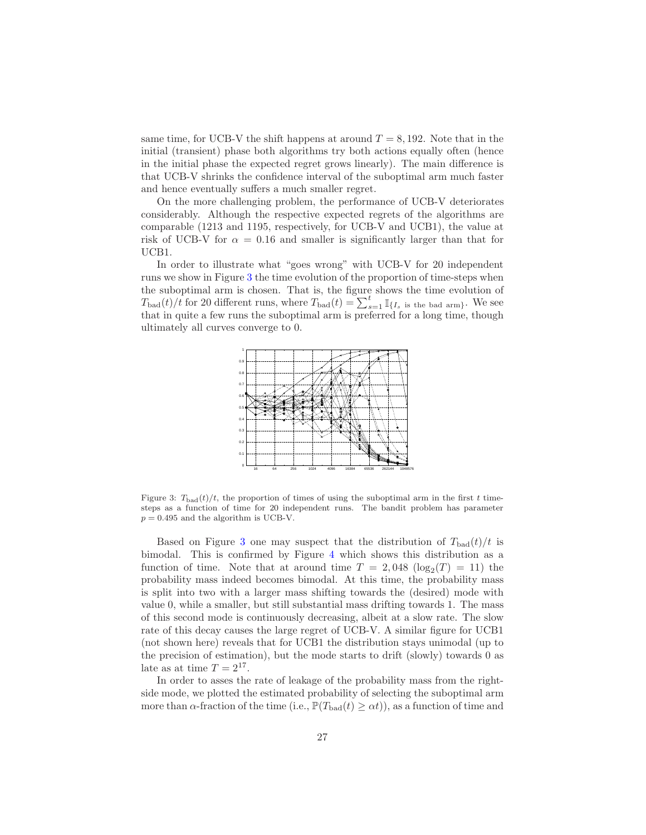same time, for UCB-V the shift happens at around  $T = 8,192$ . Note that in the initial (transient) phase both algorithms try both actions equally often (hence in the initial phase the expected regret grows linearly). The main difference is that UCB-V shrinks the confidence interval of the suboptimal arm much faster and hence eventually suffers a much smaller regret.

On the more challenging problem, the performance of UCB-V deteriorates considerably. Although the respective expected regrets of the algorithms are comparable (1213 and 1195, respectively, for UCB-V and UCB1), the value at risk of UCB-V for  $\alpha = 0.16$  and smaller is significantly larger than that for UCB1.

In order to illustrate what "goes wrong" with UCB-V for 20 independent runs we show in Figure [3](#page-26-0) the time evolution of the proportion of time-steps when the suboptimal arm is chosen. That is, the figure shows the time evolution of  $T_{bad}(t)/t$  for 20 different runs, where  $T_{bad}(t) = \sum_{s=1}^{t} \mathbb{I}_{\{I_s\text{ is the bad arm}\}}$ . We see that in quite a few runs the suboptimal arm is preferred for a long time, though ultimately all curves converge to 0.



<span id="page-26-0"></span>Figure 3:  $T_{bad}(t)/t$ , the proportion of times of using the suboptimal arm in the first t timesteps as a function of time for 20 independent runs. The bandit problem has parameter  $p = 0.495$  and the algorithm is UCB-V.

Based on Figure [3](#page-26-0) one may suspect that the distribution of  $T_{bad}(t)/t$  is bimodal. This is confirmed by Figure [4](#page-27-0) which shows this distribution as a function of time. Note that at around time  $T = 2{,}048 \, (\log_2(T) = 11)$  the probability mass indeed becomes bimodal. At this time, the probability mass is split into two with a larger mass shifting towards the (desired) mode with value 0, while a smaller, but still substantial mass drifting towards 1. The mass of this second mode is continuously decreasing, albeit at a slow rate. The slow rate of this decay causes the large regret of UCB-V. A similar figure for UCB1 (not shown here) reveals that for UCB1 the distribution stays unimodal (up to the precision of estimation), but the mode starts to drift (slowly) towards 0 as late as at time  $T = 2^{17}$ .

In order to asses the rate of leakage of the probability mass from the rightside mode, we plotted the estimated probability of selecting the suboptimal arm more than  $\alpha$ -fraction of the time (i.e.,  $\mathbb{P}(T_{bad}(t) \geq \alpha t)$ ), as a function of time and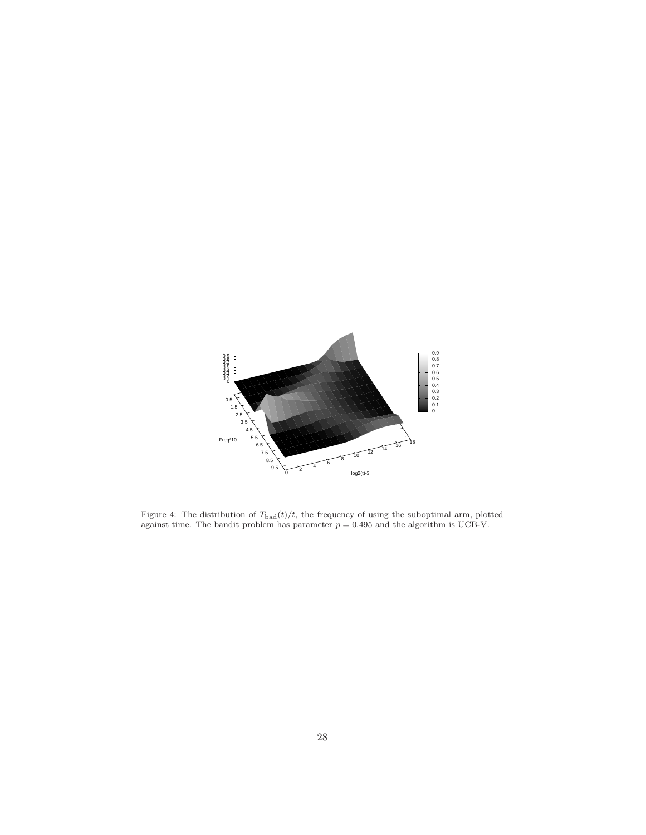

<span id="page-27-0"></span>Figure 4: The distribution of  $T_{bad}(t)/t$ , the frequency of using the suboptimal arm, plotted against time. The bandit problem has parameter  $p = 0.495$  and the algorithm is UCB-V.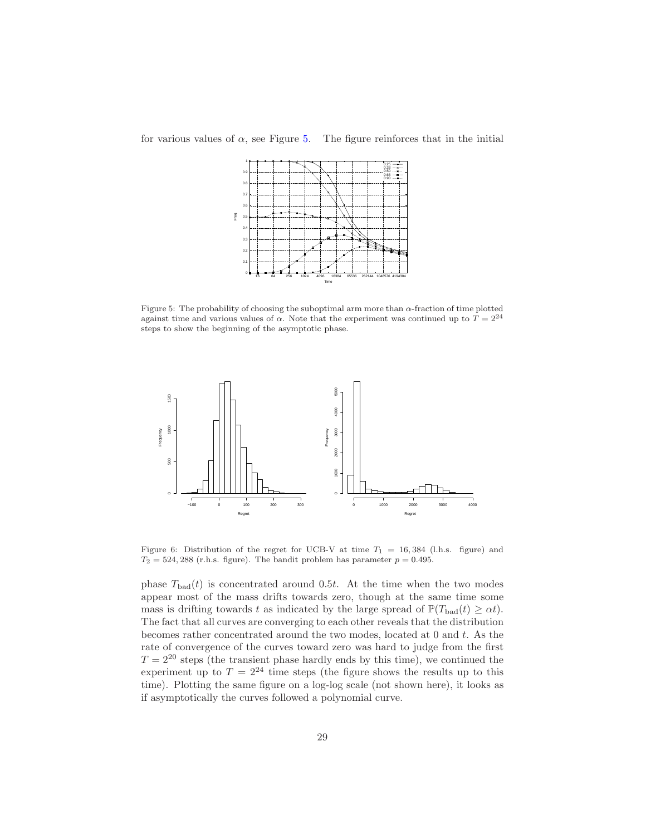for various values of  $\alpha$ , see Figure [5.](#page-28-0) The figure reinforces that in the initial



<span id="page-28-0"></span>Figure 5: The probability of choosing the suboptimal arm more than α-fraction of time plotted against time and various values of  $\alpha$ . Note that the experiment was continued up to  $T = 2^{24}$ steps to show the beginning of the asymptotic phase.



<span id="page-28-1"></span>Figure 6: Distribution of the regret for UCB-V at time  $T_1 = 16,384$  (l.h.s. figure) and  $T_2 = 524,288$  (r.h.s. figure). The bandit problem has parameter  $p = 0.495$ .

phase  $T_{bad}(t)$  is concentrated around 0.5t. At the time when the two modes appear most of the mass drifts towards zero, though at the same time some mass is drifting towards t as indicated by the large spread of  $\mathbb{P}(T_{bad}(t) \geq \alpha t)$ . The fact that all curves are converging to each other reveals that the distribution becomes rather concentrated around the two modes, located at 0 and t. As the rate of convergence of the curves toward zero was hard to judge from the first  $T = 2^{20}$  steps (the transient phase hardly ends by this time), we continued the experiment up to  $T = 2^{24}$  time steps (the figure shows the results up to this time). Plotting the same figure on a log-log scale (not shown here), it looks as if asymptotically the curves followed a polynomial curve.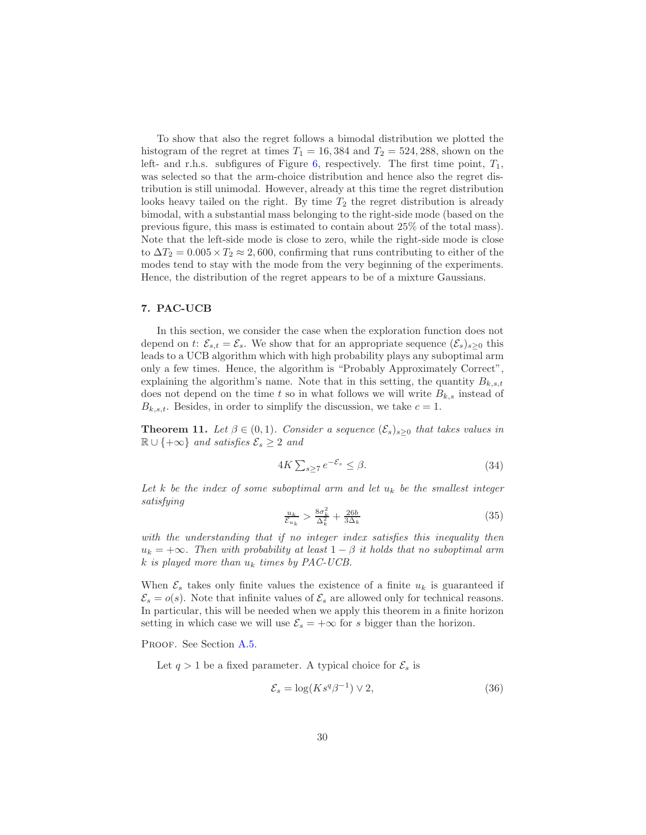To show that also the regret follows a bimodal distribution we plotted the histogram of the regret at times  $T_1 = 16,384$  and  $T_2 = 524,288$ , shown on the left- and r.h.s. subfigures of Figure [6,](#page-28-1) respectively. The first time point,  $T_1$ , was selected so that the arm-choice distribution and hence also the regret distribution is still unimodal. However, already at this time the regret distribution looks heavy tailed on the right. By time  $T_2$  the regret distribution is already bimodal, with a substantial mass belonging to the right-side mode (based on the previous figure, this mass is estimated to contain about 25% of the total mass). Note that the left-side mode is close to zero, while the right-side mode is close to  $\Delta T_2 = 0.005 \times T_2 \approx 2,600$ , confirming that runs contributing to either of the modes tend to stay with the mode from the very beginning of the experiments. Hence, the distribution of the regret appears to be of a mixture Gaussians.

# <span id="page-29-0"></span>7. PAC-UCB

In this section, we consider the case when the exploration function does not depend on t:  $\mathcal{E}_{s,t} = \mathcal{E}_s$ . We show that for an appropriate sequence  $(\mathcal{E}_s)_{s>0}$  this leads to a UCB algorithm which with high probability plays any suboptimal arm only a few times. Hence, the algorithm is "Probably Approximately Correct", explaining the algorithm's name. Note that in this setting, the quantity  $B_{k,s,t}$ does not depend on the time t so in what follows we will write  $B_{k,s}$  instead of  $B_{k,s,t}$ . Besides, in order to simplify the discussion, we take  $c = 1$ .

<span id="page-29-1"></span>**Theorem 11.** Let  $\beta \in (0,1)$ . Consider a sequence  $(\mathcal{E}_s)_{s>0}$  that takes values in  $\mathbb{R} \cup \{+\infty\}$  *and satisfies*  $\mathcal{E}_s \geq 2$  *and* 

<span id="page-29-2"></span>
$$
4K\sum_{s\geq 7}e^{-\mathcal{E}_s}\leq \beta. \tag{34}
$$

*Let* k *be the index of some suboptimal arm and let* u<sup>k</sup> *be the smallest integer satisfying*

$$
\frac{u_k}{\mathcal{E}_{u_k}} > \frac{8\sigma_k^2}{\Delta_k^2} + \frac{26b}{3\Delta_k} \tag{35}
$$

*with the understanding that if no integer index satisfies this inequality then*  $u_k = +\infty$ *. Then with probability at least*  $1 - \beta$  *it holds that no suboptimal arm* k *is played more than* u<sup>k</sup> *times by PAC-UCB.*

When  $\mathcal{E}_s$  takes only finite values the existence of a finite  $u_k$  is guaranteed if  $\mathcal{E}_s = o(s)$ . Note that infinite values of  $\mathcal{E}_s$  are allowed only for technical reasons. In particular, this will be needed when we apply this theorem in a finite horizon setting in which case we will use  $\mathcal{E}_s = +\infty$  for s bigger than the horizon.

PROOF. See Section [A.5.](#page-38-0)

Let  $q > 1$  be a fixed parameter. A typical choice for  $\mathcal{E}_s$  is

$$
\mathcal{E}_s = \log(K s^q \beta^{-1}) \vee 2,\tag{36}
$$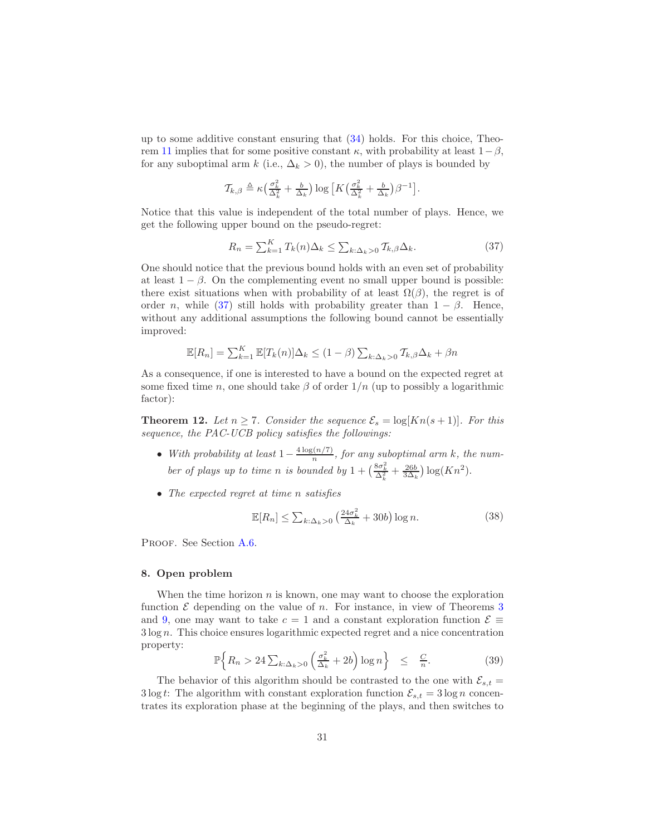up to some additive constant ensuring that [\(34\)](#page-29-2) holds. For this choice, Theo-rem [11](#page-29-1) implies that for some positive constant  $\kappa$ , with probability at least  $1-\beta$ , for any suboptimal arm k (i.e.,  $\Delta_k > 0$ ), the number of plays is bounded by

$$
\mathcal{T}_{k,\beta} \triangleq \kappa \left( \frac{\sigma_k^2}{\Delta_k^2} + \frac{b}{\Delta_k} \right) \log \left[ K \left( \frac{\sigma_k^2}{\Delta_k^2} + \frac{b}{\Delta_k} \right) \beta^{-1} \right].
$$

Notice that this value is independent of the total number of plays. Hence, we get the following upper bound on the pseudo-regret:

<span id="page-30-0"></span>
$$
R_n = \sum_{k=1}^{K} T_k(n) \Delta_k \le \sum_{k:\Delta_k > 0} T_{k,\beta} \Delta_k. \tag{37}
$$

One should notice that the previous bound holds with an even set of probability at least  $1 - \beta$ . On the complementing event no small upper bound is possible: there exist situations when with probability of at least  $\Omega(\beta)$ , the regret is of order n, while [\(37\)](#page-30-0) still holds with probability greater than  $1 - \beta$ . Hence, without any additional assumptions the following bound cannot be essentially improved:

$$
\mathbb{E}[R_n] = \sum_{k=1}^{K} \mathbb{E}[T_k(n)] \Delta_k \le (1 - \beta) \sum_{k:\Delta_k > 0} T_{k,\beta} \Delta_k + \beta n
$$

As a consequence, if one is interested to have a bound on the expected regret at some fixed time n, one should take  $\beta$  of order  $1/n$  (up to possibly a logarithmic factor):

<span id="page-30-2"></span>**Theorem 12.** Let  $n \ge 7$ . Consider the sequence  $\mathcal{E}_s = \log[Kn(s+1)]$ . For this *sequence, the PAC-UCB policy satisfies the followings:*

- *With probability at least*  $1 \frac{4 \log(n/7)}{n}$  $\frac{n(n+1)}{n}$ , for any suboptimal arm k, the number of plays up to time *n* is bounded by  $1 + \left(\frac{8\sigma_k^2}{\Delta_k^2} + \frac{26b}{3\Delta_k}\right) \log(Kn^2)$ .
- *The expected regret at time* n *satisfies*

<span id="page-30-3"></span>
$$
\mathbb{E}[R_n] \le \sum_{k:\Delta_k>0} \left(\frac{24\sigma_k^2}{\Delta_k} + 30b\right) \log n. \tag{38}
$$

PROOF. See Section [A.6.](#page-40-1)

# 8. Open problem

When the time horizon  $n$  is known, one may want to choose the exploration function  $\mathcal E$  depending on the value of n. For instance, in view of Theorems [3](#page-10-0) and [9,](#page-18-1) one may want to take  $c = 1$  and a constant exploration function  $\mathcal{E} \equiv$ 3 log n. This choice ensures logarithmic expected regret and a nice concentration property:

<span id="page-30-1"></span>
$$
\mathbb{P}\Big\{R_n > 24\sum_{k:\Delta_k>0}\Big(\frac{\sigma_k^2}{\Delta_k}+2b\Big)\log n\Big\} \leq \frac{C}{n}.\tag{39}
$$

The behavior of this algorithm should be contrasted to the one with  $\mathcal{E}_{s,t} =$ 3 log t: The algorithm with constant exploration function  $\mathcal{E}_{s,t} = 3 \log n$  concentrates its exploration phase at the beginning of the plays, and then switches to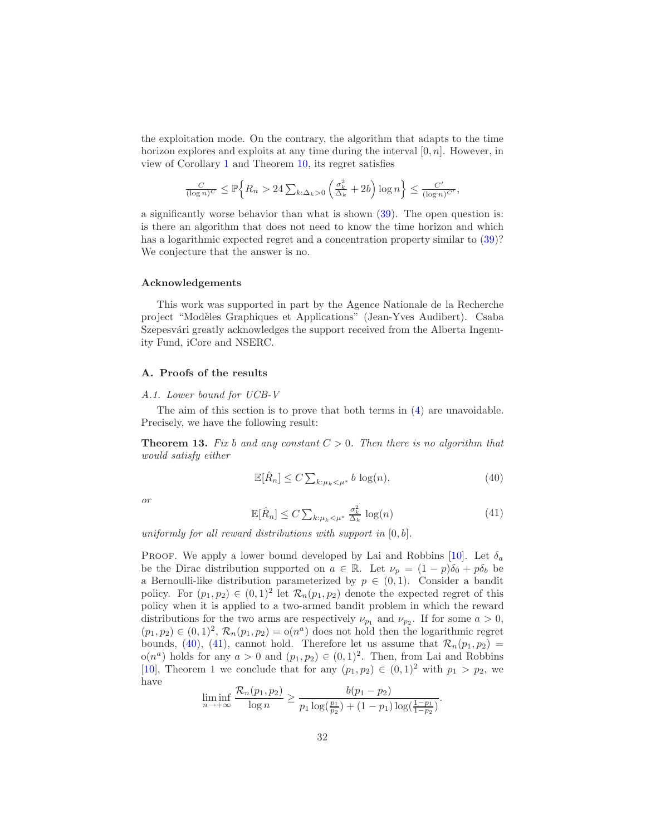the exploitation mode. On the contrary, the algorithm that adapts to the time horizon explores and exploits at any time during the interval  $[0, n]$ . However, in view of Corollary [1](#page-19-0) and Theorem [10,](#page-20-0) its regret satisfies

$$
\frac{C}{(\log n)^C} \le \mathbb{P}\Big\{R_n > 24\sum_{k:\Delta_k>0}\left(\frac{\sigma_k^2}{\Delta_k} + 2b\right)\log n\Big\} \le \frac{C'}{(\log n)^{C'}},
$$

a significantly worse behavior than what is shown [\(39\)](#page-30-1). The open question is: is there an algorithm that does not need to know the time horizon and which has a logarithmic expected regret and a concentration property similar to [\(39\)](#page-30-1)? We conjecture that the answer is no.

# Acknowledgements

This work was supported in part by the Agence Nationale de la Recherche project "Modèles Graphiques et Applications" (Jean-Yves Audibert). Csaba Szepesvári greatly acknowledges the support received from the Alberta Ingenuity Fund, iCore and NSERC.

# <span id="page-31-0"></span>A. Proofs of the results

# *A.1. Lower bound for UCB-V*

The aim of this section is to prove that both terms in [\(4\)](#page-4-2) are unavoidable. Precisely, we have the following result:

**Theorem 13.** Fix b and any constant  $C > 0$ . Then there is no algorithm that *would satisfy either*

<span id="page-31-1"></span>
$$
\mathbb{E}[\hat{R}_n] \le C \sum_{k:\mu_k < \mu^*} b \log(n),\tag{40}
$$

*or*

<span id="page-31-2"></span>
$$
\mathbb{E}[\hat{R}_n] \le C \sum_{k:\mu_k < \mu^*} \frac{\sigma_k^2}{\Delta_k} \log(n) \tag{41}
$$

*uniformly for all reward distributions with support in* [0, b]*.*

PROOF. We apply a lower bound developed by Lai and Robbins [\[10\]](#page-41-3). Let  $\delta_a$ be the Dirac distribution supported on  $a \in \mathbb{R}$ . Let  $\nu_p = (1 - p)\delta_0 + p\delta_b$  be a Bernoulli-like distribution parameterized by  $p \in (0,1)$ . Consider a bandit policy. For  $(p_1, p_2) \in (0, 1)^2$  let  $\mathcal{R}_n(p_1, p_2)$  denote the expected regret of this policy when it is applied to a two-armed bandit problem in which the reward distributions for the two arms are respectively  $\nu_{p_1}$  and  $\nu_{p_2}$ . If for some  $a > 0$ ,  $(p_1, p_2) \in (0, 1)^2$ ,  $\mathcal{R}_n(p_1, p_2) = o(n^a)$  does not hold then the logarithmic regret bounds, [\(40\)](#page-31-1), [\(41\)](#page-31-2), cannot hold. Therefore let us assume that  $\mathcal{R}_n(p_1, p_2)$  =  $o(n^a)$  holds for any  $a > 0$  and  $(p_1, p_2) \in (0, 1)^2$ . Then, from Lai and Robbins [\[10\]](#page-41-3), Theorem 1 we conclude that for any  $(p_1, p_2) \in (0, 1)^2$  with  $p_1 > p_2$ , we have

$$
\liminf_{n \to +\infty} \frac{\mathcal{R}_n(p_1, p_2)}{\log n} \ge \frac{b(p_1 - p_2)}{p_1 \log(\frac{p_1}{p_2}) + (1 - p_1) \log(\frac{1 - p_1}{1 - p_2})}.
$$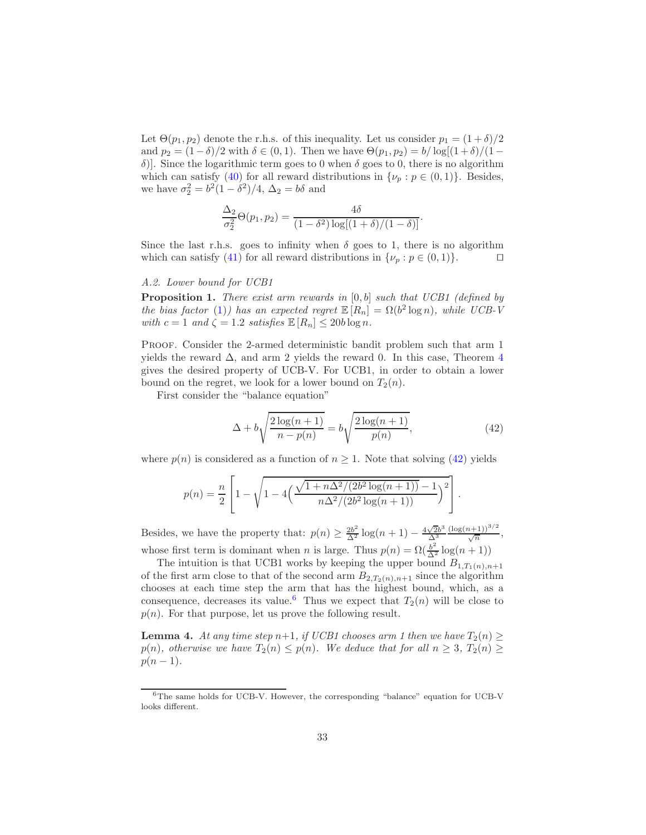Let  $\Theta(p_1, p_2)$  denote the r.h.s. of this inequality. Let us consider  $p_1 = (1 + \delta)/2$ and  $p_2 = (1-\delta)/2$  with  $\delta \in (0,1)$ . Then we have  $\Theta(p_1, p_2) = b/\log[(1+\delta)/(1-\delta)]$ δ)]. Since the logarithmic term goes to 0 when δ goes to 0, there is no algorithm which can satisfy [\(40\)](#page-31-1) for all reward distributions in  $\{\nu_p : p \in (0,1)\}\$ . Besides, we have  $\sigma_2^2 = b^2(1 - \delta^2)/4$ ,  $\Delta_2 = b\delta$  and

$$
\frac{\Delta_2}{\sigma_2^2} \Theta(p_1, p_2) = \frac{4\delta}{(1 - \delta^2) \log[(1 + \delta)/(1 - \delta)]}.
$$

Since the last r.h.s. goes to infinity when  $\delta$  goes to 1, there is no algorithm which can satisfy [\(41\)](#page-31-2) for all reward distributions in  $\{\nu_p : p \in (0,1)\}\.$ 

# <span id="page-32-1"></span><span id="page-32-0"></span>*A.2. Lower bound for UCB1*

Proposition 1. *There exist arm rewards in* [0, b] *such that UCB1 (defined by the bias factor* [\(1\)](#page-2-1)) has an expected regret  $\mathbb{E}[R_n] = \Omega(b^2 \log n)$ , while UCB-V *with*  $c = 1$  *and*  $\zeta = 1.2$  *satisfies*  $\mathbb{E}[R_n] \leq 20b \log n$ .

PROOF. Consider the 2-armed deterministic bandit problem such that arm 1 yields the reward  $\Delta$ , and arm 2 yields the reward 0. In this case, Theorem [4](#page-12-0) gives the desired property of UCB-V. For UCB1, in order to obtain a lower bound on the regret, we look for a lower bound on  $T_2(n)$ .

First consider the "balance equation"

<span id="page-32-2"></span>
$$
\Delta + b \sqrt{\frac{2 \log(n+1)}{n - p(n)}} = b \sqrt{\frac{2 \log(n+1)}{p(n)}},
$$
\n(42)

where  $p(n)$  is considered as a function of  $n \geq 1$ . Note that solving [\(42\)](#page-32-2) yields

$$
p(n) = \frac{n}{2} \left[ 1 - \sqrt{1 - 4\left(\frac{\sqrt{1 + n\Delta^2/(2b^2\log(n+1))} - 1}{n\Delta^2/(2b^2\log(n+1))}\right)^2} \right].
$$

Besides, we have the property that:  $p(n) \geq \frac{2b^2}{\Delta^2} \log(n+1) - \frac{4\sqrt{2}b^3}{\Delta^3}$ ∆<sup>3</sup>  $\frac{(\log(n+1))^{3/2}}{\sqrt{n}},$ whose first term is dominant when *n* is large. Thus  $p(n) = \Omega(\frac{b^2}{\Delta^2} \log(n+1))$ 

The intuition is that UCB1 works by keeping the upper bound  $B_{1,T_1(n),n+1}$ of the first arm close to that of the second arm  $B_{2,T_2(n),n+1}$  since the algorithm chooses at each time step the arm that has the highest bound, which, as a consequence, decreases its value.<sup>[6](#page-32-3)</sup> Thus we expect that  $T_2(n)$  will be close to  $p(n)$ . For that purpose, let us prove the following result.

<span id="page-32-4"></span>**Lemma 4.** At any time step n+1, if UCB1 chooses arm 1 then we have  $T_2(n) \ge$ p(n)*, otherwise we have*  $T_2(n) \leq p(n)$ *. We deduce that for all*  $n \geq 3$ *,*  $T_2(n) \geq$  $p(n-1)$ .

<span id="page-32-3"></span><sup>6</sup>The same holds for UCB-V. However, the corresponding "balance" equation for UCB-V looks different.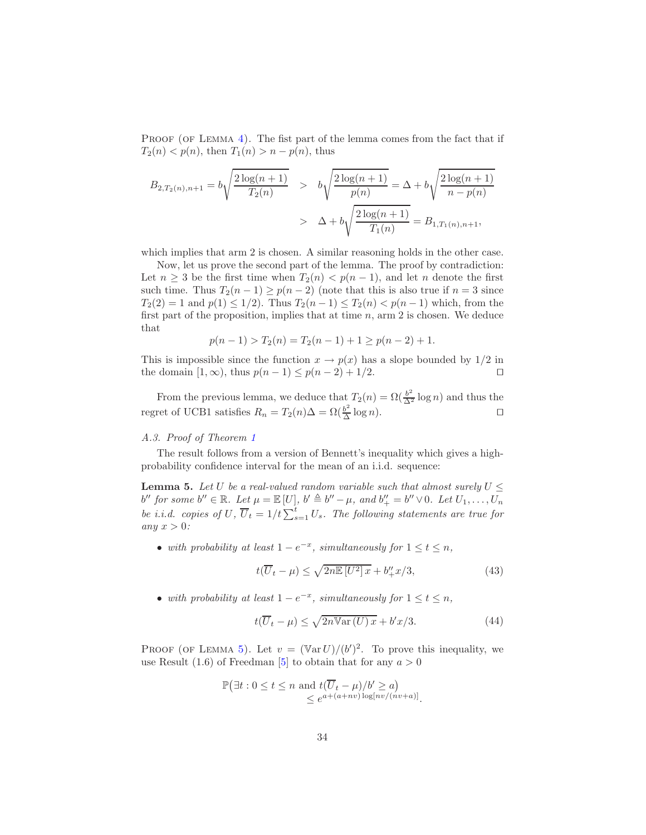PROOF (OF LEMMA  $4$ ). The fist part of the lemma comes from the fact that if  $T_2(n) < p(n)$ , then  $T_1(n) > n - p(n)$ , thus

$$
B_{2,T_2(n),n+1} = b\sqrt{\frac{2\log(n+1)}{T_2(n)}} > b\sqrt{\frac{2\log(n+1)}{p(n)}} = \Delta + b\sqrt{\frac{2\log(n+1)}{n-p(n)}}
$$
  
>  $\Delta + b\sqrt{\frac{2\log(n+1)}{T_1(n)}} = B_{1,T_1(n),n+1},$ 

which implies that arm 2 is chosen. A similar reasoning holds in the other case.

Now, let us prove the second part of the lemma. The proof by contradiction: Let  $n \geq 3$  be the first time when  $T_2(n) < p(n-1)$ , and let n denote the first such time. Thus  $T_2(n-1) \ge p(n-2)$  (note that this is also true if  $n=3$  since  $T_2(2) = 1$  and  $p(1) \leq 1/2$ . Thus  $T_2(n-1) \leq T_2(n) < p(n-1)$  which, from the first part of the proposition, implies that at time  $n$ , arm 2 is chosen. We deduce that

$$
p(n-1) > T_2(n) = T_2(n-1) + 1 \ge p(n-2) + 1.
$$

This is impossible since the function  $x \to p(x)$  has a slope bounded by  $1/2$  in the domain  $[1, \infty)$ , thus  $p(n-1) \leq p(n-2) + 1/2$ . the domain  $[1, \infty)$ , thus  $p(n - 1) \leq p(n - 2) + 1/2$ .

From the previous lemma, we deduce that  $T_2(n) = \Omega(\frac{b^2}{\Delta^2} \log n)$  and thus the regret of UCB1 satisfies  $R_n = T_2(n)\Delta = \Omega(\frac{b^2}{\Delta})$  $\frac{b^2}{\Delta} \log n$ . □

# <span id="page-33-0"></span>*A.3. Proof of Theorem [1](#page-7-0)*

The result follows from a version of Bennett's inequality which gives a highprobability confidence interval for the mean of an i.i.d. sequence:

**Lemma 5.** Let U be a real-valued random variable such that almost surely  $U \leq$  $b''$  for some  $b'' \in \mathbb{R}$ *.* Let  $\mu = \mathbb{E}[U]$ ,  $b' \triangleq b'' - \mu$ , and  $b''_+ = b'' \vee 0$ *.* Let  $U_1, \ldots, U_n$ *be i.i.d. copies of* U,  $\overline{U}_t = 1/t \sum_{s=1}^t U_s$ . The following statements are true for *any*  $x > 0$ *:* 

• *with probability at least*  $1 - e^{-x}$ *, simultaneously for*  $1 \le t \le n$ *,* 

<span id="page-33-3"></span><span id="page-33-1"></span>
$$
t(\overline{U}_t - \mu) \le \sqrt{2n\mathbb{E}\left[U^2\right]x} + b''_+x/3,\tag{43}
$$

• *with probability at least*  $1 - e^{-x}$ *, simultaneously for*  $1 \le t \le n$ *,* 

<span id="page-33-2"></span>
$$
t(\overline{U}_t - \mu) \le \sqrt{2n \operatorname{Var}(U)x} + b'x/3. \tag{44}
$$

PROOF (OF LEMMA [5\)](#page-33-1). Let  $v = (\text{Var } U)/(b')^2$ . To prove this inequality, we use Result (1.6) of Freedman [\[5](#page-41-10)] to obtain that for any  $a > 0$ 

$$
\mathbb{P}(\exists t : 0 \le t \le n \text{ and } t(\overline{U}_t - \mu)/b' \ge a)
$$
  
\$\le e^{a + (a + nv) \log[nv/(nv+a)]}\$.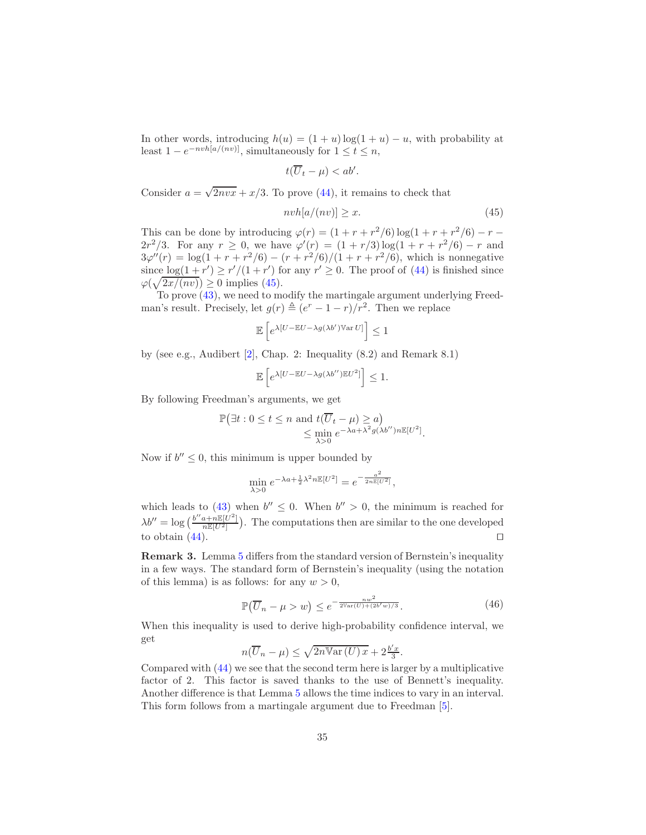In other words, introducing  $h(u) = (1 + u) \log(1 + u) - u$ , with probability at least  $1 - e^{-nvh[a/(nv)]}$ , simultaneously for  $1 \le t \le n$ ,

$$
t(\overline{U}_t-\mu)
$$

Consider  $a = \sqrt{2nv}x + x/3$ . To prove [\(44\)](#page-33-2), it remains to check that

<span id="page-34-1"></span>
$$
nvh[a/(nv)] \ge x. \tag{45}
$$

This can be done by introducing  $\varphi(r) = (1 + r + r^2/6) \log(1 + r + r^2/6) - r 2r^2/3$ . For any  $r \ge 0$ , we have  $\varphi'(r) = (1 + r/3) \log(1 + r + r^2/6) - r$  and  $3\varphi''(r) = \log(1 + r + r^2/6) - (r + r^2/6)/(1 + r + r^2/6)$ , which is nonnegative since  $\log(1+r') \ge r'/(1+r')$  for any  $r' \ge 0$ . The proof of [\(44\)](#page-33-2) is finished since  $\varphi(\sqrt{2x/(nv)}) \ge 0$  implies [\(45\)](#page-34-1).

To prove [\(43\)](#page-33-3), we need to modify the martingale argument underlying Freedman's result. Precisely, let  $g(r) \triangleq (e^r - 1 - r)/r^2$ . Then we replace

$$
\mathbb{E}\left[e^{\lambda[U-\mathbb{E}U-\lambda g(\lambda b')\mathbb{V}\mathrm{ar}\,U]}\right]\leq 1
$$

by (see e.g., Audibert  $[2]$ , Chap. 2: Inequality  $(8.2)$  and Remark  $8.1)$ 

$$
\mathbb{E}\left[e^{\lambda[U-\mathbb{E}U-\lambda g(\lambda b'')\mathbb{E}U^2]}\right]\leq 1.
$$

By following Freedman's arguments, we get

$$
\mathbb{P}(\exists t : 0 \le t \le n \text{ and } t(\overline{U}_t - \mu) \ge a) \le \min_{\lambda > 0} e^{-\lambda a + \lambda^2 g(\lambda b'')n \mathbb{E}[U^2]}.
$$

Now if  $b'' \leq 0$ , this minimum is upper bounded by

$$
\min_{\lambda > 0} e^{-\lambda a + \frac{1}{2}\lambda^2 n \mathbb{E}[U^2]} = e^{-\frac{a^2}{2n \mathbb{E}[U^2]}},
$$

which leads to  $(43)$  when  $b'' \leq 0$ . When  $b'' > 0$ , the minimum is reached for  $\lambda b'' = \log \left( \frac{b'' a + n \mathbb{E}[U^2]}{n \mathbb{E}[U^2]} \right)$ . The computations then are similar to the one developed to obtain  $(44)$ . □

Remark 3. Lemma [5](#page-33-1) differs from the standard version of Bernstein's inequality in a few ways. The standard form of Bernstein's inequality (using the notation of this lemma) is as follows: for any  $w > 0$ ,

<span id="page-34-0"></span>
$$
\mathbb{P}(\overline{U}_n - \mu > w) \le e^{-\frac{nw^2}{2\text{Var}(U) + (2b'w)/3}}.
$$
\n(46)

When this inequality is used to derive high-probability confidence interval, we get

$$
n(\overline{U}_n - \mu) \le \sqrt{2n \operatorname{Var}(U) x} + 2\frac{b'x}{3}.
$$

Compared with [\(44\)](#page-33-2) we see that the second term here is larger by a multiplicative factor of 2. This factor is saved thanks to the use of Bennett's inequality. Another difference is that Lemma [5](#page-33-1) allows the time indices to vary in an interval. This form follows from a martingale argument due to Freedman [\[5\]](#page-41-10).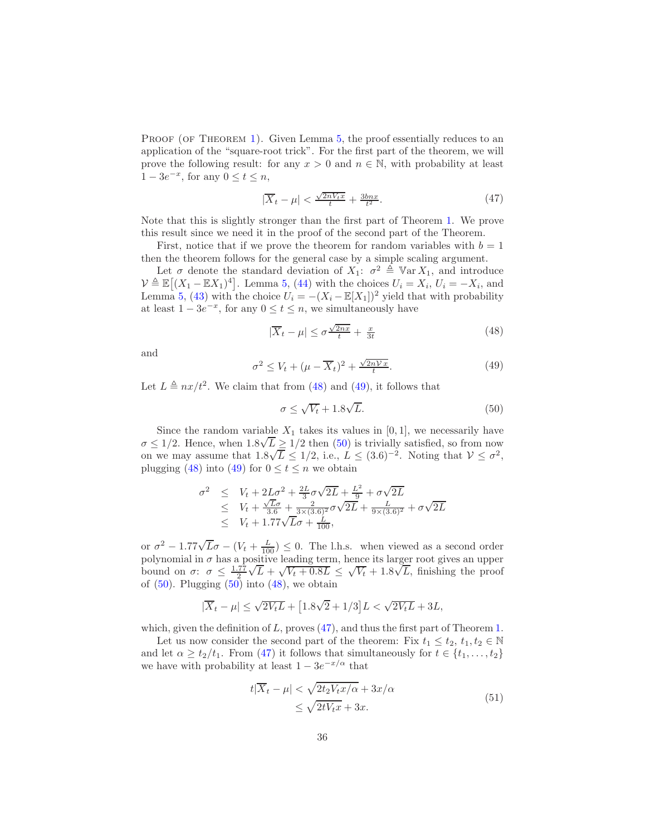PROOF (OF THEOREM [1\)](#page-7-0). Given Lemma [5,](#page-33-1) the proof essentially reduces to an application of the "square-root trick". For the first part of the theorem, we will prove the following result: for any  $x > 0$  and  $n \in \mathbb{N}$ , with probability at least  $1 - 3e^{-x}$ , for any  $0 \le t \le n$ ,

<span id="page-35-0"></span>
$$
|\overline{X}_t - \mu| < \frac{\sqrt{2nV_t x}}{t} + \frac{3bn x}{t^2}.\tag{47}
$$

Note that this is slightly stronger than the first part of Theorem [1.](#page-7-0) We prove this result since we need it in the proof of the second part of the Theorem.

First, notice that if we prove the theorem for random variables with  $b = 1$ then the theorem follows for the general case by a simple scaling argument.

Let  $\sigma$  denote the standard deviation of  $X_1$ :  $\sigma^2 \triangleq \text{Var } X_1$ , and introduce  $\mathcal{V} \triangleq \mathbb{E}[(X_1 - \mathbb{E}X_1)^4]$ . Lemma [5,](#page-33-1) [\(44\)](#page-33-2) with the choices  $U_i = X_i$ ,  $U_i = -X_i$ , and Lemma [5,](#page-33-1) [\(43\)](#page-33-3) with the choice  $U_i = -(X_i - \mathbb{E}[X_1])^2$  yield that with probability at least  $1 - 3e^{-x}$ , for any  $0 \le t \le n$ , we simultaneously have

<span id="page-35-1"></span>
$$
|\overline{X}_t - \mu| \le \sigma \frac{\sqrt{2nx}}{t} + \frac{x}{3t} \tag{48}
$$

and

<span id="page-35-2"></span>
$$
\sigma^2 \le V_t + (\mu - \overline{X}_t)^2 + \frac{\sqrt{2nVx}}{t}.\tag{49}
$$

Let  $L \triangleq nx/t^2$ . We claim that from [\(48\)](#page-35-1) and [\(49\)](#page-35-2), it follows that

<span id="page-35-3"></span>
$$
\sigma \le \sqrt{V_t} + 1.8\sqrt{L}.\tag{50}
$$

Since the random variable  $X_1$  takes its values in [0, 1], we necessarily have  $\sigma \leq 1/2$ . Hence, when  $1.8\sqrt{L} \geq 1/2$  then [\(50\)](#page-35-3) is trivially satisfied, so from now on we may assume that  $1.8\sqrt{L} \le 1/2$ , i.e.,  $L \le (3.6)^{-2}$ . Noting that  $V \le \sigma^2$ , plugging [\(48\)](#page-35-1) into [\(49\)](#page-35-2) for  $0 \le t \le n$  we obtain

$$
\begin{array}{rcl}\n\sigma^2 & \leq & V_t + 2L\sigma^2 + \frac{2L}{3}\sigma\sqrt{2L} + \frac{L^2}{9} + \sigma\sqrt{2L} \\
& \leq & V_t + \frac{\sqrt{L}\sigma}{3.6} + \frac{2}{3\times(3.6)^2}\sigma\sqrt{2L} + \frac{L}{9\times(3.6)^2} + \sigma\sqrt{2L} \\
& \leq & V_t + 1.77\sqrt{L}\sigma + \frac{L}{100},\n\end{array}
$$

or  $\sigma^2 - 1.77\sqrt{L}\sigma - (V_t + \frac{L}{100}) \leq 0$ . The l.h.s. when viewed as a second order polynomial in  $\sigma$  has a positive leading term, hence its larger root gives an upper bound on  $\sigma: \sigma \leq \frac{1.77}{2}$  $\sqrt{L} + \sqrt{V_t + 0.8L} \leq \sqrt{V_t} + 1.8\sqrt{L}$ , finishing the proof of  $(50)$ . Plugging  $(50)$  into  $(48)$ , we obtain

$$
|\overline{X}_t-\mu|\leq \sqrt{2V_tL}+\big[1.8\sqrt{2}+1/3\big]L<\sqrt{2V_tL}+3L,
$$

which, given the definition of L, proves  $(47)$ , and thus the first part of Theorem [1.](#page-7-0)

<span id="page-35-4"></span>Let us now consider the second part of the theorem: Fix  $t_1 \leq t_2, t_1, t_2 \in \mathbb{N}$ and let  $\alpha \geq t_2/t_1$ . From [\(47\)](#page-35-0) it follows that simultaneously for  $t \in \{t_1, \ldots, t_2\}$ we have with probability at least  $1 - 3e^{-x/\alpha}$  that

$$
t|\overline{X}_t - \mu| < \sqrt{2t_2 V_t x/\alpha} + 3x/\alpha
$$
\n
$$
\leq \sqrt{2t V_t x} + 3x. \tag{51}
$$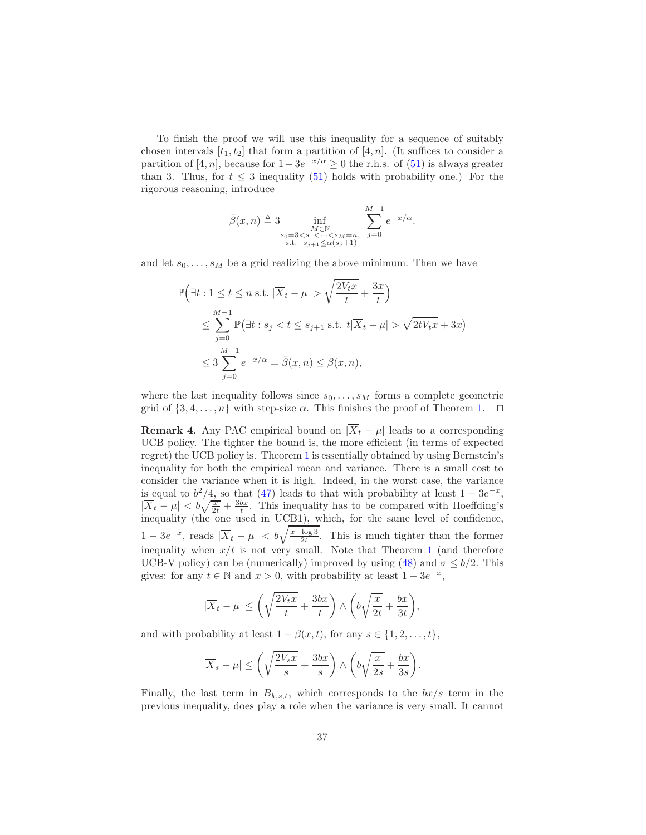To finish the proof we will use this inequality for a sequence of suitably chosen intervals  $[t_1, t_2]$  that form a partition of  $[4, n]$ . (It suffices to consider a partition of [4, n], because for  $1 - 3e^{-x/\alpha} \ge 0$  the r.h.s. of [\(51\)](#page-35-4) is always greater than 3. Thus, for  $t \leq 3$  inequality [\(51\)](#page-35-4) holds with probability one.) For the rigorous reasoning, introduce

$$
\bar{\beta}(x,n) \triangleq 3 \inf_{\substack{M \in \mathbb{N} \\ s_0 = 3 < s_1 < \dots < s_M = n, \\ \text{s.t. } s_{j+1} \leq \alpha(s_j+1)}} \sum_{j=0}^{M-1} e^{-x/\alpha}.
$$

and let  $s_0, \ldots, s_M$  be a grid realizing the above minimum. Then we have

$$
\mathbb{P}\left(\exists t : 1 \le t \le n \text{ s.t. } |\overline{X}_t - \mu| > \sqrt{\frac{2V_t x}{t}} + \frac{3x}{t}\right)
$$
\n
$$
\le \sum_{j=0}^{M-1} \mathbb{P}\left(\exists t : s_j < t \le s_{j+1} \text{ s.t. } t|\overline{X}_t - \mu| > \sqrt{2tV_t x} + 3x\right)
$$
\n
$$
\le 3 \sum_{j=0}^{M-1} e^{-x/\alpha} = \overline{\beta}(x, n) \le \beta(x, n),
$$

where the last inequality follows since  $s_0, \ldots, s_M$  forms a complete geometric grid of  $\{3, 4, \ldots, n\}$  with step-size  $\alpha$ . This finishes the proof of Theorem [1.](#page-7-0) □

**Remark 4.** Any PAC empirical bound on  $|\overline{X}_t - \mu|$  leads to a corresponding UCB policy. The tighter the bound is, the more efficient (in terms of expected regret) the UCB policy is. Theorem [1](#page-7-0) is essentially obtained by using Bernstein's inequality for both the empirical mean and variance. There is a small cost to consider the variance when it is high. Indeed, in the worst case, the variance is equal to  $b^2/4$ , so that [\(47\)](#page-35-0) leads to that with probability at least  $1 - 3e^{-x}$ ,  $|\overline{X}_t - \mu| < b\sqrt{\frac{x}{2t}} + \frac{3bx}{t}$ . This inequality has to be compared with Hoeffding's inequality (the one used in UCB1), which, for the same level of confidence,  $1 - 3e^{-x}$ , reads  $|\overline{X}_t - \mu| < b\sqrt{\frac{x - \log 3}{2t}}$ . This is much tighter than the former inequality when  $x/t$  is not very small. Note that Theorem [1](#page-7-0) (and therefore UCB-V policy) can be (numerically) improved by using [\(48\)](#page-35-1) and  $\sigma \leq b/2$ . This gives: for any  $t \in \mathbb{N}$  and  $x > 0$ , with probability at least  $1 - 3e^{-x}$ ,

$$
|\overline{X}_t-\mu|\leq \left(\sqrt{\frac{2V_tx}{t}}+\frac{3bx}{t}\right)\wedge \left(b\sqrt{\frac{x}{2t}}+\frac{bx}{3t}\right),
$$

and with probability at least  $1 - \beta(x, t)$ , for any  $s \in \{1, 2, \ldots, t\}$ ,

$$
|\overline{X}_s - \mu| \le \left(\sqrt{\frac{2V_sx}{s}} + \frac{3bx}{s}\right) \wedge \left(b\sqrt{\frac{x}{2s}} + \frac{bx}{3s}\right).
$$

Finally, the last term in  $B_{k,s,t}$ , which corresponds to the  $bx/s$  term in the previous inequality, does play a role when the variance is very small. It cannot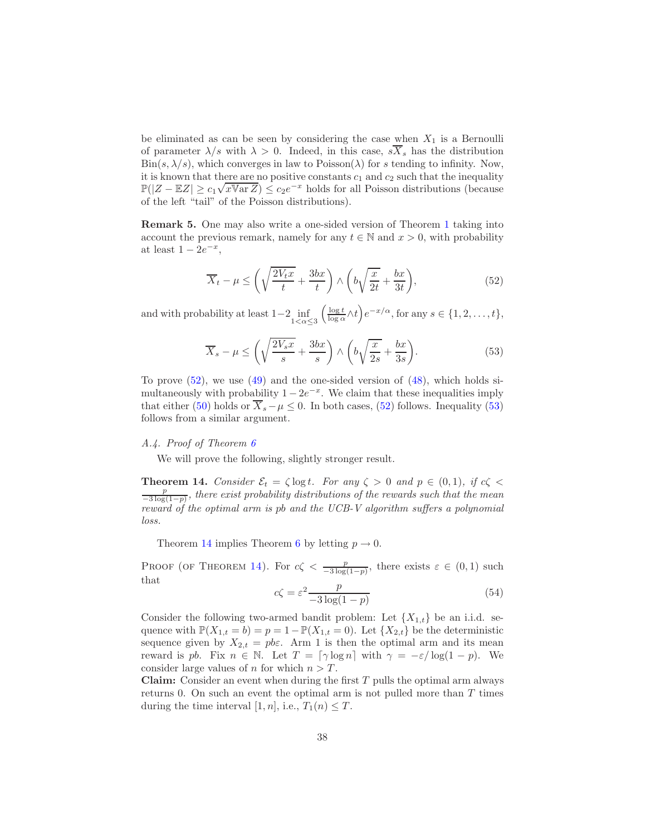be eliminated as can be seen by considering the case when  $X_1$  is a Bernoulli of parameter  $\lambda/s$  with  $\lambda > 0$ . Indeed, in this case,  $s\overline{X}_s$  has the distribution  $\text{Bin}(s, \lambda/s)$ , which converges in law to  $\text{Poisson}(\lambda)$  for s tending to infinity. Now, it is known that there are no positive constants  $c_1$  and  $c_2$  such that the inequality  $\mathbb{P}(|Z - \mathbb{E}Z| \ge c_1 \sqrt{x \text{Var }Z}) \le c_2 e^{-x}$  holds for all Poisson distributions (because of the left "tail" of the Poisson distributions).

Remark 5. One may also write a one-sided version of Theorem [1](#page-7-0) taking into account the previous remark, namely for any  $t \in \mathbb{N}$  and  $x > 0$ , with probability at least  $1 - 2e^{-x}$ ,

<span id="page-37-1"></span>
$$
\overline{X}_t - \mu \le \left(\sqrt{\frac{2V_t x}{t}} + \frac{3bx}{t}\right) \wedge \left(b\sqrt{\frac{x}{2t}} + \frac{bx}{3t}\right),\tag{52}
$$

and with probability at least  $1-2$  inf<br> $1<\alpha\leq 3$  $\left(\frac{\log t}{\log \alpha} \wedge t\right) e^{-x/\alpha}$ , for any  $s \in \{1, 2, \ldots, t\}$ ,

<span id="page-37-2"></span>
$$
\overline{X}_s - \mu \le \left(\sqrt{\frac{2V_s x}{s}} + \frac{3bx}{s}\right) \wedge \left(b\sqrt{\frac{x}{2s}} + \frac{bx}{3s}\right). \tag{53}
$$

To prove  $(52)$ , we use  $(49)$  and the one-sided version of  $(48)$ , which holds simultaneously with probability  $1 - 2e^{-x}$ . We claim that these inequalities imply that either [\(50\)](#page-35-3) holds or  $\overline{X}_s - \mu \leq 0$ . In both cases, [\(52\)](#page-37-1) follows. Inequality [\(53\)](#page-37-2) follows from a similar argument.

## <span id="page-37-0"></span>*A.4. Proof of Theorem [6](#page-15-0)*

<span id="page-37-3"></span>We will prove the following, slightly stronger result.

**Theorem 14.** *Consider*  $\mathcal{E}_t = \zeta \log t$ *. For any*  $\zeta > 0$  *and*  $p \in (0,1)$ *, if*  $c\zeta <$ p −3 log(1−p) *, there exist probability distributions of the rewards such that the mean reward of the optimal arm is* pb *and the UCB-V algorithm suffers a polynomial loss.*

Theorem [14](#page-37-3) implies Theorem [6](#page-15-0) by letting  $p \to 0$ .

PROOF (OF THEOREM [14\)](#page-37-3). For  $c\zeta < \frac{p}{-3\log(1-p)}$ , there exists  $\varepsilon \in (0,1)$  such that

<span id="page-37-4"></span>
$$
c\zeta = \varepsilon^2 \frac{p}{-3\log(1-p)}\tag{54}
$$

Consider the following two-armed bandit problem: Let  $\{X_{1,t}\}\$ be an i.i.d. sequence with  $\mathbb{P}(X_{1,t} = b) = p = 1 - \mathbb{P}(X_{1,t} = 0)$ . Let  $\{X_{2,t}\}\)$  be the deterministic sequence given by  $X_{2,t} = p b \varepsilon$ . Arm 1 is then the optimal arm and its mean reward is pb. Fix  $n \in \mathbb{N}$ . Let  $T = \lceil \gamma \log n \rceil$  with  $\gamma = -\varepsilon / \log(1-p)$ . We consider large values of n for which  $n > T$ .

**Claim:** Consider an event when during the first  $T$  pulls the optimal arm always returns 0. On such an event the optimal arm is not pulled more than  $T$  times during the time interval [1, n], i.e.,  $T_1(n) \leq T$ .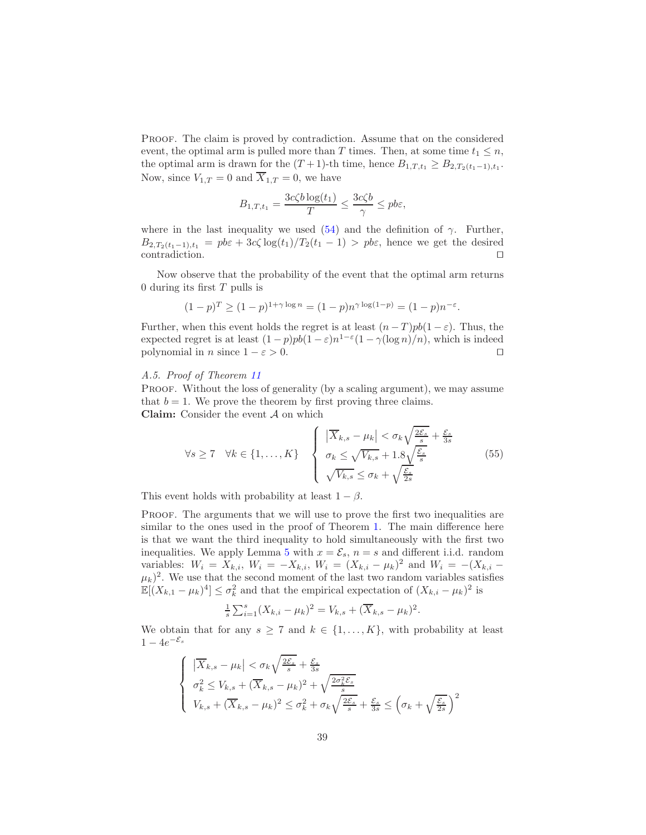Proof. The claim is proved by contradiction. Assume that on the considered event, the optimal arm is pulled more than T times. Then, at some time  $t_1 \leq n$ , the optimal arm is drawn for the  $(T+1)$ -th time, hence  $B_{1,T,t_1} \ge B_{2,T_2(t_1-1),t_1}$ . Now, since  $V_{1,T} = 0$  and  $\overline{X}_{1,T} = 0$ , we have

$$
B_{1,T,t_1} = \frac{3c\zeta b \log(t_1)}{T} \le \frac{3c\zeta b}{\gamma} \le pb\varepsilon,
$$

where in the last inequality we used [\(54\)](#page-37-4) and the definition of  $\gamma$ . Further,  $B_{2,T_2(t_1-1),t_1} = p b \varepsilon + 3c \zeta \log(t_1)/T_2(t_1-1) > p b \varepsilon$ , hence we get the desired contradiction. contradiction.

Now observe that the probability of the event that the optimal arm returns 0 during its first  $T$  pulls is

$$
(1-p)^{T} \ge (1-p)^{1+\gamma \log n} = (1-p)n^{\gamma \log(1-p)} = (1-p)n^{-\varepsilon}.
$$

Further, when this event holds the regret is at least  $(n-T)pb(1-\varepsilon)$ . Thus, the expected regret is at least  $(1-p)pb(1-\varepsilon)n^{1-\varepsilon}(1-\gamma(\log n)/n)$ , which is indeed polynomial in *n* since  $1 - \varepsilon > 0$ . □

# <span id="page-38-0"></span>*A.5. Proof of Theorem [11](#page-29-1)*

PROOF. Without the loss of generality (by a scaling argument), we may assume that  $b = 1$ . We prove the theorem by first proving three claims. **Claim:** Consider the event  $\mathcal A$  on which

<span id="page-38-1"></span>
$$
\forall s \ge 7 \quad \forall k \in \{1, ..., K\} \quad \left\{ \begin{array}{l} |\overline{X}_{k,s} - \mu_k| < \sigma_k \sqrt{\frac{2\mathcal{E}_s}{s}} + \frac{\mathcal{E}_s}{3s} \\ \sigma_k \le \sqrt{V_{k,s}} + 1.8 \sqrt{\frac{\mathcal{E}_s}{s}} \\ \sqrt{V_{k,s}} \le \sigma_k + \sqrt{\frac{\mathcal{E}_s}{2s}} \end{array} \right. \tag{55}
$$

This event holds with probability at least  $1 - \beta$ .

PROOF. The arguments that we will use to prove the first two inequalities are similar to the ones used in the proof of Theorem [1.](#page-7-0) The main difference here is that we want the third inequality to hold simultaneously with the first two inequalities. We apply Lemma [5](#page-33-1) with  $x = \mathcal{E}_s$ ,  $n = s$  and different i.i.d. random variables:  $W_i = X_{k,i}$ ,  $W_i = -X_{k,i}$ ,  $W_i = (X_{k,i} - \mu_k)^2$  and  $W_i = -(X_{k,i} - \mu_k)^2$  $(\mu_k)^2$ . We use that the second moment of the last two random variables satisfies  $\mathbb{E}[(X_{k,1} - \mu_k)^4] \leq \sigma_k^2$  and that the empirical expectation of  $(X_{k,i} - \mu_k)^2$  is

$$
\frac{1}{s}\sum_{i=1}^{s}(X_{k,i}-\mu_k)^2=V_{k,s}+(\overline{X}_{k,s}-\mu_k)^2.
$$

We obtain that for any  $s \geq 7$  and  $k \in \{1, ..., K\}$ , with probability at least  $1-4e^{-\mathcal{E}_s}$ 

$$
\begin{cases} \left| \overline{X}_{k,s} - \mu_k \right| < \sigma_k \sqrt{\frac{2\mathcal{E}_s}{s}} + \frac{\mathcal{E}_s}{3s} \\ \sigma_k^2 \le V_{k,s} + (\overline{X}_{k,s} - \mu_k)^2 + \sqrt{\frac{2\sigma_k^2 \mathcal{E}_s}{s}} \\ V_{k,s} + (\overline{X}_{k,s} - \mu_k)^2 \le \sigma_k^2 + \sigma_k \sqrt{\frac{2\mathcal{E}_s}{s}} + \frac{\mathcal{E}_s}{3s} \le \left( \sigma_k + \sqrt{\frac{\mathcal{E}_s}{2s}} \right)^2 \end{cases}
$$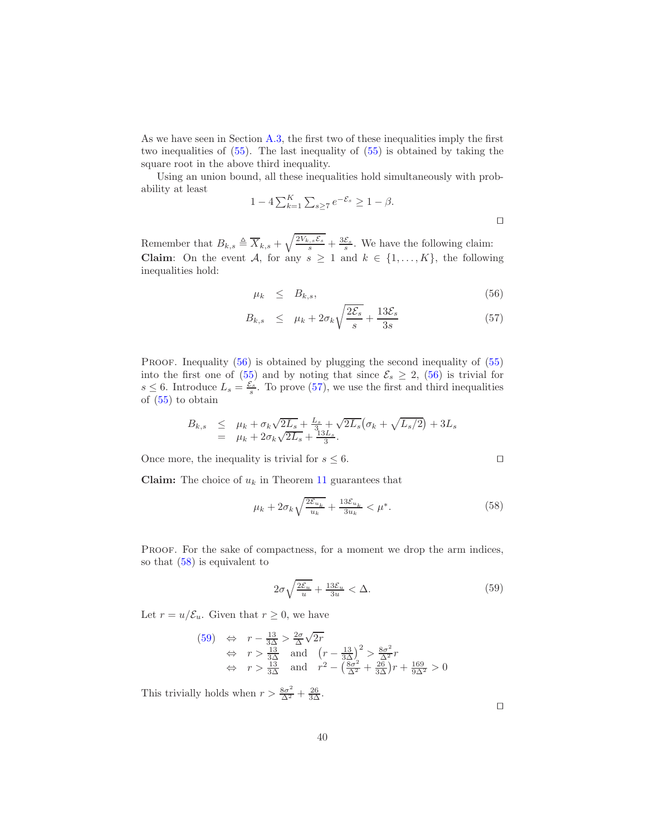As we have seen in Section [A.3,](#page-33-0) the first two of these inequalities imply the first two inequalities of [\(55\)](#page-38-1). The last inequality of [\(55\)](#page-38-1) is obtained by taking the square root in the above third inequality.

Using an union bound, all these inequalities hold simultaneously with probability at least

$$
1 - 4\sum_{k=1}^{K} \sum_{s \ge 7} e^{-\mathcal{E}_s} \ge 1 - \beta.
$$

Remember that  $B_{k,s} \triangleq \overline{X}_{k,s} + \sqrt{\frac{2V_{k,s}\mathcal{E}_s}{s}} + \frac{3\mathcal{E}_s}{s}$ . We have the following claim: **Claim:** On the event A, for any  $s \geq 1$  and  $k \in \{1, ..., K\}$ , the following inequalities hold:

<span id="page-39-0"></span>
$$
\mu_k \leq B_{k,s}, \tag{56}
$$

$$
B_{k,s} \leq \mu_k + 2\sigma_k \sqrt{\frac{2\mathcal{E}_s}{s}} + \frac{13\mathcal{E}_s}{3s} \tag{57}
$$

PROOF. Inequality [\(56\)](#page-39-0) is obtained by plugging the second inequality of [\(55\)](#page-38-1) into the first one of [\(55\)](#page-38-1) and by noting that since  $\mathcal{E}_s \geq 2$ , [\(56\)](#page-39-0) is trivial for  $s \leq 6$ . Introduce  $L_s = \frac{\varepsilon_s}{s}$ . To prove [\(57\)](#page-39-0), we use the first and third inequalities of [\(55\)](#page-38-1) to obtain

$$
B_{k,s} \leq \mu_k + \sigma_k \sqrt{2L_s} + \frac{L_s}{3} + \sqrt{2L_s} (\sigma_k + \sqrt{L_s/2}) + 3L_s
$$
  
=  $\mu_k + 2\sigma_k \sqrt{2L_s} + \frac{13L_s}{3}.$ 

Once more, the inequality is trivial for  $s \leq 6$ . □

**Claim:** The choice of  $u_k$  in Theorem [11](#page-29-1) guarantees that

<span id="page-39-1"></span>
$$
\mu_k + 2\sigma_k \sqrt{\frac{2\mathcal{E}_{u_k}}{u_k}} + \frac{13\mathcal{E}_{u_k}}{3u_k} < \mu^*.\tag{58}
$$

PROOF. For the sake of compactness, for a moment we drop the arm indices, so that [\(58\)](#page-39-1) is equivalent to

<span id="page-39-2"></span>
$$
2\sigma\sqrt{\frac{2\mathcal{E}_u}{u}} + \frac{13\mathcal{E}_u}{3u} < \Delta. \tag{59}
$$

Let  $r = u/\mathcal{E}_u$ . Given that  $r \geq 0$ , we have

$$
(59) \Leftrightarrow r - \frac{13}{3\Delta} > \frac{2\sigma}{\Delta}\sqrt{2r}
$$
  
\n
$$
\Leftrightarrow r > \frac{13}{3\Delta} \text{ and } \left(r - \frac{13}{3\Delta}\right)^2 > \frac{8\sigma^2}{\Delta^2}r
$$
  
\n
$$
\Leftrightarrow r > \frac{13}{3\Delta} \text{ and } r^2 - \left(\frac{8\sigma^2}{\Delta^2} + \frac{26}{3\Delta}\right)r + \frac{169}{9\Delta^2} > 0
$$

This trivially holds when  $r > \frac{8\sigma^2}{\Delta^2} + \frac{26}{3\Delta}$ .

| ۰ | ۰ |
|---|---|
|   |   |
|   |   |
|   |   |
|   |   |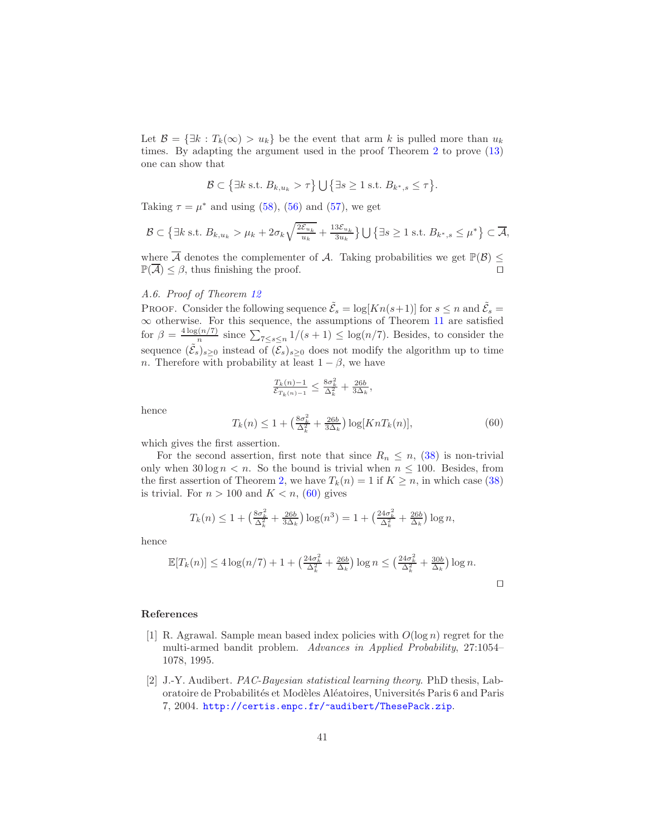Let  $\mathcal{B} = \{\exists k : T_k(\infty) > u_k\}$  be the event that arm k is pulled more than  $u_k$ times. By adapting the argument used in the proof Theorem [2](#page-9-0) to prove [\(13\)](#page-10-4) one can show that

$$
\mathcal{B} \subset \left\{ \exists k \text{ s.t. } B_{k,u_k} > \tau \right\} \cup \left\{ \exists s \geq 1 \text{ s.t. } B_{k^*,s} \leq \tau \right\}.
$$

Taking  $\tau = \mu^*$  and using [\(58\)](#page-39-1), [\(56\)](#page-39-0) and [\(57\)](#page-39-0), we get

$$
\mathcal{B} \subset \left\{ \exists k \text{ s.t. } B_{k,u_k} > \mu_k + 2\sigma_k \sqrt{\frac{2\mathcal{E}_{u_k}}{u_k}} + \frac{13\mathcal{E}_{u_k}}{3u_k} \right\} \bigcup \left\{ \exists s \ge 1 \text{ s.t. } B_{k^*,s} \le \mu^* \right\} \subset \overline{\mathcal{A}},
$$

where  $\overline{\mathcal{A}}$  denotes the complementer of  $\mathcal{A}$ . Taking probabilities we get  $\mathbb{P}(\mathcal{B}) \leq \mathbb{P}(\overline{\mathcal{A}}) \leq \beta$  thus finishing the proof  $\mathbb{P}(\overline{\mathcal{A}}) \leq \beta$ , thus finishing the proof.

# <span id="page-40-1"></span>*A.6. Proof of Theorem [12](#page-30-2)*

PROOF. Consider the following sequence  $\tilde{\mathcal{E}}_s = \log[Kn(s+1)]$  for  $s \leq n$  and  $\tilde{\mathcal{E}}_s =$  $\infty$  otherwise. For this sequence, the assumptions of Theorem [11](#page-29-1) are satisfied for  $\beta = \frac{4 \log(n/7)}{n}$  $\sum_{n=1}^{\lfloor n/7 \rfloor}$  since  $\sum_{7 \leq s \leq n} 1/(s+1) \leq \log(n/7)$ . Besides, to consider the sequence  $(\tilde{\mathcal{E}}_s)_{s\geq 0}$  instead of  $(\overline{\mathcal{E}}_s)_{s\geq 0}$  does not modify the algorithm up to time n. Therefore with probability at least  $1 - \beta$ , we have

$$
\frac{T_k(n)-1}{\mathcal{E}_{T_k(n)-1}} \le \frac{8\sigma_k^2}{\Delta_k^2} + \frac{26b}{3\Delta_k}
$$

hence

<span id="page-40-3"></span>
$$
T_k(n) \le 1 + \left(\frac{8\sigma_k^2}{\Delta_k^2} + \frac{26b}{3\Delta_k}\right) \log[KnT_k(n)],\tag{60}
$$

,

which gives the first assertion.

For the second assertion, first note that since  $R_n \leq n$ , [\(38\)](#page-30-3) is non-trivial only when  $30 \log n < n$ . So the bound is trivial when  $n \leq 100$ . Besides, from the first assertion of Theorem [2,](#page-9-0) we have  $T_k(n) = 1$  if  $K \geq n$ , in which case [\(38\)](#page-30-3) is trivial. For  $n > 100$  and  $K < n$ , [\(60\)](#page-40-3) gives

$$
T_k(n) \le 1 + \left(\frac{8\sigma_k^2}{\Delta_k^2} + \frac{26b}{3\Delta_k}\right) \log(n^3) = 1 + \left(\frac{24\sigma_k^2}{\Delta_k^2} + \frac{26b}{\Delta_k}\right) \log n,
$$

hence

$$
\mathbb{E}[T_k(n)] \le 4\log(n/7) + 1 + \left(\frac{24\sigma_k^2}{\Delta_k^2} + \frac{26b}{\Delta_k}\right)\log n \le \left(\frac{24\sigma_k^2}{\Delta_k^2} + \frac{30b}{\Delta_k}\right)\log n.
$$

#### References

- <span id="page-40-0"></span>[1] R. Agrawal. Sample mean based index policies with  $O(\log n)$  regret for the multi-armed bandit problem. *Advances in Applied Probability*, 27:1054– 1078, 1995.
- <span id="page-40-2"></span>[2] J.-Y. Audibert. *PAC-Bayesian statistical learning theory*. PhD thesis, Laboratoire de Probabilités et Modèles Aléatoires, Universités Paris 6 and Paris 7, 2004. <http://certis.enpc.fr/~audibert/ThesePack.zip>.